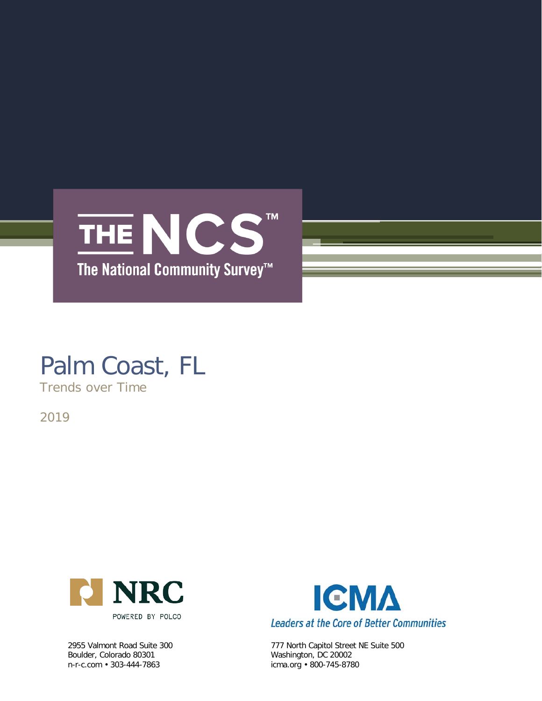

# Palm Coast, FL

Trends over Time

2019



Boulder, Colorado 80301<br>n-r-c.com • 303-444-7863



2955 Valmont Road Suite 300 777 North Capitol Street NE Suite 500<br>Boulder, Colorado 80301 80002 Washington, DC 20002 icma.org • 800-745-8780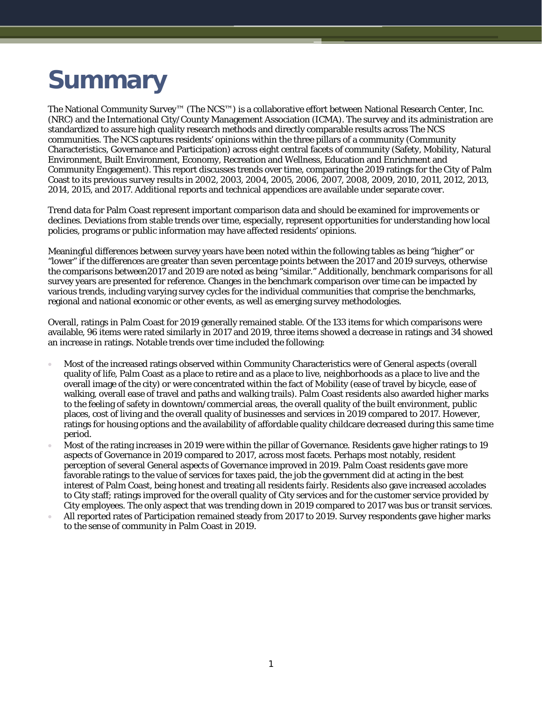# **Summary**

The National Community Survey™ (The NCS™) is a collaborative effort between National Research Center, Inc. (NRC) and the International City/County Management Association (ICMA). The survey and its administration are standardized to assure high quality research methods and directly comparable results across The NCS communities. The NCS captures residents' opinions within the three pillars of a community (Community Characteristics, Governance and Participation) across eight central facets of community (Safety, Mobility, Natural Environment, Built Environment, Economy, Recreation and Wellness, Education and Enrichment and Community Engagement). This report discusses trends over time, comparing the 2019 ratings for the City of Palm Coast to its previous survey results in 2002, 2003, 2004, 2005, 2006, 2007, 2008, 2009, 2010, 2011, 2012, 2013, 2014, 2015, and 2017. Additional reports and technical appendices are available under separate cover.

Trend data for Palm Coast represent important comparison data and should be examined for improvements or declines. Deviations from stable trends over time, especially, represent opportunities for understanding how local policies, programs or public information may have affected residents' opinions.

Meaningful differences between survey years have been noted within the following tables as being "higher" or "lower" if the differences are greater than seven percentage points between the 2017 and 2019 surveys, otherwise the comparisons between2017 and 2019 are noted as being "similar." Additionally, benchmark comparisons for all survey years are presented for reference. Changes in the benchmark comparison over time can be impacted by various trends, including varying survey cycles for the individual communities that comprise the benchmarks, regional and national economic or other events, as well as emerging survey methodologies.

Overall, ratings in Palm Coast for 2019 generally remained stable. Of the 133 items for which comparisons were available, 96 items were rated similarly in 2017 and 2019, three items showed a decrease in ratings and 34 showed an increase in ratings. Notable trends over time included the following:

- Most of the increased ratings observed within Community Characteristics were of General aspects (overall quality of life, Palm Coast as a place to retire and as a place to live, neighborhoods as a place to live and the overall image of the city) or were concentrated within the fact of Mobility (ease of travel by bicycle, ease of walking, overall ease of travel and paths and walking trails). Palm Coast residents also awarded higher marks to the feeling of safety in downtown/commercial areas, the overall quality of the built environment, public places, cost of living and the overall quality of businesses and services in 2019 compared to 2017. However, ratings for housing options and the availability of affordable quality childcare decreased during this same time period.
- Most of the rating increases in 2019 were within the pillar of Governance. Residents gave higher ratings to 19 aspects of Governance in 2019 compared to 2017, across most facets. Perhaps most notably, resident perception of several General aspects of Governance improved in 2019. Palm Coast residents gave more favorable ratings to the value of services for taxes paid, the job the government did at acting in the best interest of Palm Coast, being honest and treating all residents fairly. Residents also gave increased accolades to City staff; ratings improved for the overall quality of City services and for the customer service provided by City employees. The only aspect that was trending down in 2019 compared to 2017 was bus or transit services.
- All reported rates of Participation remained steady from 2017 to 2019. Survey respondents gave higher marks to the sense of community in Palm Coast in 2019.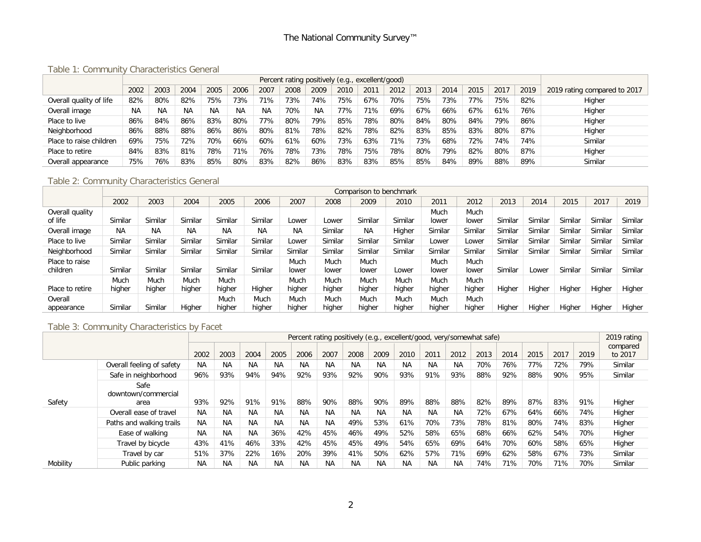Table 1: Community Characteristics General

|                         |           |      |           |           |           |           |      |      |      | Percent rating positively (e.g., excellent/good) |      |      |      |      |      |      |                              |
|-------------------------|-----------|------|-----------|-----------|-----------|-----------|------|------|------|--------------------------------------------------|------|------|------|------|------|------|------------------------------|
|                         | 2002      | 2003 | 2004      | 2005      | 2006      | 2007      | 2008 | 2009 | 2010 | 2011                                             | 2012 | 2013 | 2014 | 2015 | 2017 | 2019 | 2019 rating compared to 2017 |
| Overall quality of life | 82%       | 80%  | 82%       | 75%       | 73%       | 71%       | 73%  | 74%  | 75%  | 67%                                              | 70%  | 75%  | 73%  | 77%  | 75%  | 82%  | Higher                       |
| Overall image           | <b>NA</b> | ΝA   | <b>NA</b> | <b>NA</b> | <b>NA</b> | <b>NA</b> | 70%  | NA   | 77%  | 71%                                              | 69%  | 67%  | 66%  | 67%  | 61%  | 76%  | Higher                       |
| Place to live           | 86%       | 84%  | 86%       | 83%       | 80%       | 77%       | 80%  | 79%  | 85%  | 78%                                              | 80%  | 84%  | 80%  | 84%  | 79%  | 86%  | Higher                       |
| Neighborhood            | 86%       | 88%  | 88%       | 86%       | 86%       | 80%       | 81%  | 78%  | 82%  | 78%                                              | 82%  | 83%  | 85%  | 83%  | 80%  | 87%  | Higher                       |
| Place to raise children | 69%       | 75%  | '2%       | 70%       | 66%       | 60%       | 61%  | 60%  | 73%  | 63%                                              | 71%  | 73%  | 68%  | 12%  | 74%  | 74%  | Similar                      |
| Place to retire         | 84%       | 83%  | 81%       | 78%       | 71%       | 76%       | 78%  | 73%  | 78%  | 75%                                              | 78%  | 80%  | 79%  | 82%  | 80%  | 87%  | Higher                       |
| Overall appearance      | 75%       | 76%  | 83%       | 85%       | 80%       | 83%       | 82%  | 86%  | 83%  | 83%                                              | 85%  | 85%  | 84%  | 89%  | 88%  | 89%  | Similar                      |

# Table 2: Community Characteristics General

|                            |           |           |           |           |           |               |               | Comparison to benchmark |         |               |               |         |         |         |         |         |
|----------------------------|-----------|-----------|-----------|-----------|-----------|---------------|---------------|-------------------------|---------|---------------|---------------|---------|---------|---------|---------|---------|
|                            | 2002      | 2003      | 2004      | 2005      | 2006      | 2007          | 2008          | 2009                    | 2010    | 2011          | 2012          | 2013    | 2014    | 2015    | 2017    | 2019    |
| Overall quality            |           |           |           |           |           |               |               |                         |         | Much          | Much          |         |         |         |         |         |
| of life                    | Similar   | Similar   | Similar   | Similar   | Similar   | Lower         | Lower         | Similar                 | Similar | lower         | lower         | Similar | Similar | Similar | Similar | Similar |
| Overall image              | <b>NA</b> | <b>NA</b> | <b>NA</b> | <b>NA</b> | <b>NA</b> | <b>NA</b>     | Similar       | <b>NA</b>               | Higher  | Similar       | Similar       | Similar | Similar | Similar | Similar | Similar |
| Place to live              | Similar   | Similar   | Similar   | Similar   | Similar   | _ower         | Similar       | Similar                 | Similar | Lower         | Lower         | Similar | Similar | Similar | Similar | Similar |
| Neighborhood               | Similar   | Similar   | Similar   | Similar   | Similar   | Similar       | Similar       | Similar                 | Similar | Similar       | Similar       | Similar | Similar | Similar | Similar | Similar |
| Place to raise<br>children | Similar   | Similar   | Similar   | Similar   | Similar   | Much<br>lower | Much<br>lower | Much<br>lower           | Lower   | Much<br>lower | Much<br>lower | Similar | _ower   | Similar | Similar | Similar |
|                            | Much      | Much      | Much      | Much      |           | Much          | Much          | Much                    | Much    | Much          | Much          |         |         |         |         |         |
| Place to retire            | higher    | higher    | higher    | higher    | Higher    | higher        | higher        | higher                  | higher  | higher        | higher        | Higher  | Higher  | Higher  | Higher  | Higher  |
| Overall                    |           |           |           | Much      | Much      | Much          | Much          | Much                    | Much    | Much          | Much          |         |         |         |         |         |
| appearance                 | Similar   | Similar   | Higher    | higher    | higher    | higher        | higher        | higher                  | higher  | higher        | higher        | Higher  | Higher  | Higher  | Higher  | Higher  |

#### Table 3: Community Characteristics by Facet

|          |                                     |           |           |           |           |           |           |           |           | Percent rating positively (e.g., excellent/good, very/somewhat safe) |           |           |      |      |      |      |      | 2019 rating         |
|----------|-------------------------------------|-----------|-----------|-----------|-----------|-----------|-----------|-----------|-----------|----------------------------------------------------------------------|-----------|-----------|------|------|------|------|------|---------------------|
|          |                                     | 2002      | 2003      | 2004      | 2005      | 2006      | 2007      | 2008      | 2009      | 2010                                                                 | 2011      | 2012      | 2013 | 2014 | 2015 | 2017 | 2019 | compared<br>to 2017 |
|          | Overall feeling of safety           | <b>NA</b> | <b>NA</b> | <b>NA</b> | <b>NA</b> | <b>NA</b> | <b>NA</b> | <b>NA</b> | <b>NA</b> | <b>NA</b>                                                            | <b>NA</b> | ΝA        | 70%  | 76%  | 77%  | 72%  | 79%  | Similar             |
|          | Safe in neighborhood                | 96%       | 93%       | 94%       | 94%       | 92%       | 93%       | 92%       | 90%       | 93%                                                                  | 91%       | 93%       | 88%  | 92%  | 88%  | 90%  | 95%  | Similar             |
| Safety   | Safe<br>downtown/commercial<br>area | 93%       | 92%       | 91%       | 91%       | 88%       | 90%       | 88%       | 90%       | 89%                                                                  | 88%       | 88%       | 82%  | 89%  | 87%  | 83%  | 91%  | Higher              |
|          | Overall ease of travel              | <b>NA</b> | ΝA        | <b>NA</b> | ΝA        | <b>NA</b> | <b>NA</b> | <b>NA</b> | NA.       | NA                                                                   | <b>NA</b> | <b>NA</b> | 72%  | 67%  | 64%  | 66%  | 74%  | Higher              |
|          | Paths and walking trails            | <b>NA</b> | <b>NA</b> | <b>NA</b> | <b>NA</b> | <b>NA</b> | <b>NA</b> | 49%       | 53%       | 61%                                                                  | 70%       | 73%       | 78%  | 81%  | 80%  | 74%  | 83%  | Higher              |
|          | Ease of walking                     | <b>NA</b> | <b>NA</b> | <b>NA</b> | 36%       | 42%       | 45%       | 46%       | 49%       | 52%                                                                  | 58%       | 65%       | 68%  | 66%  | 62%  | 54%  | 70%  | Higher              |
|          | Travel by bicycle                   | 43%       | 41%       | 46%       | 33%       | 42%       | 45%       | 45%       | 49%       | 54%                                                                  | 65%       | 69%       | 64%  | 70%  | 60%  | 58%  | 65%  | Higher              |
|          | Travel by car                       | 51%       | 37%       | 22%       | 16%       | 20%       | 39%       | 41%       | 50%       | 62%                                                                  | 57%       | 71%       | 69%  | 62%  | 58%  | 67%  | 73%  | Similar             |
| Mobility | Public parking                      | <b>NA</b> | <b>NA</b> | <b>NA</b> | NA.       | <b>NA</b> | <b>NA</b> | <b>NA</b> | NA.       | <b>NA</b>                                                            | <b>NA</b> | <b>NA</b> | 74%  | 71%  | 70%  | 71%  | 70%  | Similar             |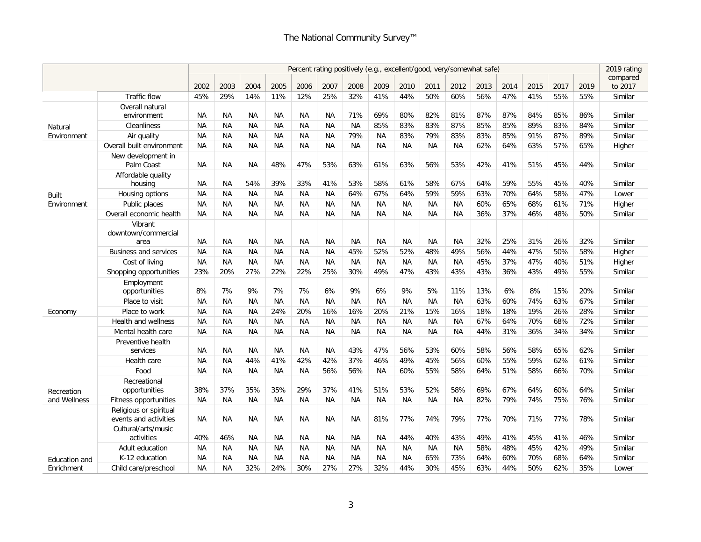|               |                                                 |           |           |           |           |           | Percent rating positively (e.g., excellent/good, very/somewhat safe) |           |           |           |           |           |      |      |      |      |      | 2019 rating |
|---------------|-------------------------------------------------|-----------|-----------|-----------|-----------|-----------|----------------------------------------------------------------------|-----------|-----------|-----------|-----------|-----------|------|------|------|------|------|-------------|
|               |                                                 |           |           |           |           |           |                                                                      |           |           |           |           |           |      |      |      |      |      | compared    |
|               |                                                 | 2002      | 2003      | 2004      | 2005      | 2006      | 2007                                                                 | 2008      | 2009      | 2010      | 2011      | 2012      | 2013 | 2014 | 2015 | 2017 | 2019 | to 2017     |
|               | <b>Traffic flow</b>                             | 45%       | 29%       | 14%       | 11%       | 12%       | 25%                                                                  | 32%       | 41%       | 44%       | 50%       | 60%       | 56%  | 47%  | 41%  | 55%  | 55%  | Similar     |
|               | Overall natural<br>environment                  | <b>NA</b> | <b>NA</b> | ΝA        | <b>NA</b> | <b>NA</b> | <b>NA</b>                                                            | 71%       | 69%       | 80%       | 82%       | 81%       | 87%  | 87%  | 84%  | 85%  | 86%  | Similar     |
| Natural       | Cleanliness                                     | <b>NA</b> | <b>NA</b> | <b>NA</b> | <b>NA</b> | <b>NA</b> | <b>NA</b>                                                            | <b>NA</b> | 85%       | 83%       | 83%       | 87%       | 85%  | 85%  | 89%  | 83%  | 84%  | Similar     |
| Environment   | Air quality                                     | NA.       | <b>NA</b> | <b>NA</b> | <b>NA</b> | <b>NA</b> | <b>NA</b>                                                            | 79%       | <b>NA</b> | 83%       | 79%       | 83%       | 83%  | 85%  | 91%  | 87%  | 89%  | Similar     |
|               | Overall built environment                       | <b>NA</b> | <b>NA</b> | <b>NA</b> | ΝA        | ΝA        | <b>NA</b>                                                            | ΝA        | <b>NA</b> | <b>NA</b> | NА        | ΝA        | 62%  | 64%  | 63%  | 57%  | 65%  | Higher      |
|               | New development in<br>Palm Coast                | <b>NA</b> | <b>NA</b> | <b>NA</b> | 48%       | 47%       | 53%                                                                  | 63%       | 61%       | 63%       | 56%       | 53%       | 42%  | 41%  | 51%  | 45%  | 44%  | Similar     |
|               | Affordable quality<br>housing                   | NA        | <b>NA</b> | 54%       | 39%       | 33%       | 41%                                                                  | 53%       | 58%       | 61%       | 58%       | 67%       | 64%  | 59%  | 55%  | 45%  | 40%  | Similar     |
| Built         | Housing options                                 | NA        | <b>NA</b> | <b>NA</b> | <b>NA</b> | <b>NA</b> | <b>NA</b>                                                            | 64%       | 67%       | 64%       | 59%       | 59%       | 63%  | 70%  | 64%  | 58%  | 47%  | Lower       |
| Environment   | Public places                                   | <b>NA</b> | <b>NA</b> | <b>NA</b> | <b>NA</b> | <b>NA</b> | <b>NA</b>                                                            | NA        | <b>NA</b> | <b>NA</b> | <b>NA</b> | <b>NA</b> | 60%  | 65%  | 68%  | 61%  | 71%  | Higher      |
|               | Overall economic health                         | <b>NA</b> | <b>NA</b> | <b>NA</b> | <b>NA</b> | <b>NA</b> | <b>NA</b>                                                            | <b>NA</b> | <b>NA</b> | <b>NA</b> | <b>NA</b> | <b>NA</b> | 36%  | 37%  | 46%  | 48%  | 50%  | Similar     |
|               | Vibrant<br>downtown/commercial<br>area          | <b>NA</b> | <b>NA</b> | <b>NA</b> | <b>NA</b> | <b>NA</b> | <b>NA</b>                                                            | NA        | NA        | <b>NA</b> | <b>NA</b> | <b>NA</b> | 32%  | 25%  | 31%  | 26%  | 32%  | Similar     |
|               | <b>Business and services</b>                    | <b>NA</b> | <b>NA</b> | <b>NA</b> | ΝA        | <b>NA</b> | <b>NA</b>                                                            | 45%       | 52%       | 52%       | 48%       | 49%       | 56%  | 44%  | 47%  | 50%  | 58%  | Higher      |
|               | Cost of living                                  | <b>NA</b> | <b>NA</b> | <b>NA</b> | <b>NA</b> | <b>NA</b> | <b>NA</b>                                                            | <b>NA</b> | <b>NA</b> | ΝA        | <b>NA</b> | <b>NA</b> | 45%  | 37%  | 47%  | 40%  | 51%  | Higher      |
|               | Shopping opportunities                          | 23%       | 20%       | 27%       | 22%       | 22%       | 25%                                                                  | 30%       | 49%       | 47%       | 43%       | 43%       | 43%  | 36%  | 43%  | 49%  | 55%  | Similar     |
|               | Employment<br>opportunities                     | 8%        | 7%        | 9%        | 7%        | 7%        | 6%                                                                   | 9%        | 6%        | 9%        | 5%        | 11%       | 13%  | 6%   | 8%   | 15%  | 20%  | Similar     |
|               | Place to visit                                  | NA        | <b>NA</b> | <b>NA</b> | <b>NA</b> | <b>NA</b> | <b>NA</b>                                                            | <b>NA</b> | NA        | <b>NA</b> | <b>NA</b> | <b>NA</b> | 63%  | 60%  | 74%  | 63%  | 67%  | Similar     |
| Economy       | Place to work                                   | <b>NA</b> | <b>NA</b> | ΝA        | 24%       | 20%       | 16%                                                                  | 16%       | 20%       | 21%       | 15%       | 16%       | 18%  | 18%  | 19%  | 26%  | 28%  | Similar     |
|               | Health and wellness                             | <b>NA</b> | <b>NA</b> | <b>NA</b> | ΝA        | <b>NA</b> | <b>NA</b>                                                            | <b>NA</b> | <b>NA</b> | <b>NA</b> | ΝA        | NА        | 67%  | 64%  | 70%  | 68%  | 72%  | Similar     |
|               | Mental health care                              | NA        | <b>NA</b> | <b>NA</b> | <b>NA</b> | <b>NA</b> | <b>NA</b>                                                            | <b>NA</b> | <b>NA</b> | NA        | <b>NA</b> | <b>NA</b> | 44%  | 31%  | 36%  | 34%  | 34%  | Similar     |
|               | Preventive health<br>services                   | <b>NA</b> | <b>NA</b> | ΝA        | ΝA        | <b>NA</b> | <b>NA</b>                                                            | 43%       | 47%       | 56%       | 53%       | 60%       | 58%  | 56%  | 58%  | 65%  | 62%  | Similar     |
|               | Health care                                     | <b>NA</b> | <b>NA</b> | 44%       | 41%       | 42%       | 42%                                                                  | 37%       | 46%       | 49%       | 45%       | 56%       | 60%  | 55%  | 59%  | 62%  | 61%  | Similar     |
|               | Food                                            | <b>NA</b> | <b>NA</b> | <b>NA</b> | ΝA        | <b>NA</b> | 56%                                                                  | 56%       | <b>NA</b> | 60%       | 55%       | 58%       | 64%  | 51%  | 58%  | 66%  | 70%  | Similar     |
| Recreation    | Recreational<br>opportunities                   | 38%       | 37%       | 35%       | 35%       | 29%       | 37%                                                                  | 41%       | 51%       | 53%       | 52%       | 58%       | 69%  | 67%  | 64%  | 60%  | 64%  | Similar     |
| and Wellness  | Fitness opportunities                           | <b>NA</b> | <b>NA</b> | <b>NA</b> | <b>NA</b> | <b>NA</b> | <b>NA</b>                                                            | <b>NA</b> | <b>NA</b> | <b>NA</b> | <b>NA</b> | <b>NA</b> | 82%  | 79%  | 74%  | 75%  | 76%  | Similar     |
|               | Religious or spiritual<br>events and activities | <b>NA</b> | <b>NA</b> | <b>NA</b> | <b>NA</b> | <b>NA</b> | <b>NA</b>                                                            | <b>NA</b> | 81%       | 77%       | 74%       | 79%       | 77%  | 70%  | 71%  | 77%  | 78%  | Similar     |
|               | Cultural/arts/music<br>activities               | 40%       | 46%       | <b>NA</b> | <b>NA</b> | <b>NA</b> | <b>NA</b>                                                            | <b>NA</b> | <b>NA</b> | 44%       | 40%       | 43%       | 49%  | 41%  | 45%  | 41%  | 46%  | Similar     |
|               | Adult education                                 | <b>NA</b> | <b>NA</b> | ΝA        | <b>NA</b> | <b>NA</b> | NА                                                                   | <b>NA</b> | <b>NA</b> | <b>NA</b> | ΝA        | NA        | 58%  | 48%  | 45%  | 42%  | 49%  | Similar     |
| Education and | K-12 education                                  | <b>NA</b> | ΝA        | ΝA        | <b>NA</b> | <b>NA</b> | <b>NA</b>                                                            | <b>NA</b> | NА        | NA.       | 65%       | 73%       | 64%  | 60%  | 70%  | 68%  | 64%  | Similar     |
| Enrichment    | Child care/preschool                            | <b>NA</b> | <b>NA</b> | 32%       | 24%       | 30%       | 27%                                                                  | 27%       | 32%       | 44%       | 30%       | 45%       | 63%  | 44%  | 50%  | 62%  | 35%  | Lower       |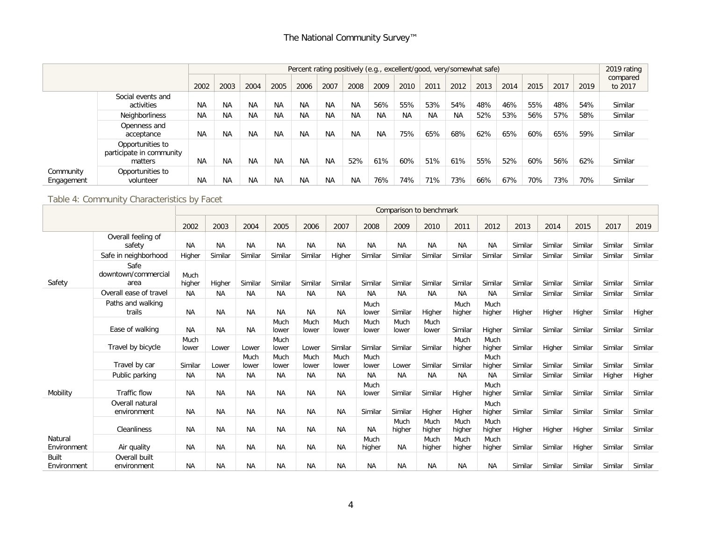|                         |                                                         |           |           |           |           |           |           | Percent rating positively (e.g., excellent/good, very/somewhat safe) |           |      |      |           |      |      |      |      |      | 2019 rating |
|-------------------------|---------------------------------------------------------|-----------|-----------|-----------|-----------|-----------|-----------|----------------------------------------------------------------------|-----------|------|------|-----------|------|------|------|------|------|-------------|
|                         |                                                         |           |           |           |           |           |           |                                                                      |           |      |      |           |      |      |      |      |      | compared    |
|                         |                                                         | 2002      | 2003      | 2004      | 2005      | 2006      | 2007      | 2008                                                                 | 2009      | 2010 | 2011 | 2012      | 2013 | 2014 | 2015 | 2017 | 2019 | to 2017     |
|                         | Social events and<br>activities                         | <b>NA</b> | <b>NA</b> | NA        | <b>NA</b> | <b>NA</b> | <b>NA</b> | <b>NA</b>                                                            | 56%       | 55%  | 53%  | 54%       | 48%  | 46%  | 55%  | 48%  | 54%  | Similar     |
|                         | <b>Neighborliness</b>                                   | <b>NA</b> | NA.       | <b>NA</b> | <b>NA</b> | NA        | <b>NA</b> | <b>NA</b>                                                            | <b>NA</b> | NA.  | ΝA   | <b>NA</b> | 52%  | 53%  | 56%  | 57%  | 58%  | Similar     |
|                         | Openness and<br>acceptance                              | <b>NA</b> | <b>NA</b> | <b>NA</b> | <b>NA</b> | <b>NA</b> | <b>NA</b> | <b>NA</b>                                                            | <b>NA</b> | 75%  | 65%  | 68%       | 62%  | 65%  | 60%  | 65%  | 59%  | Similar     |
|                         | Opportunities to<br>participate in community<br>matters | <b>NA</b> | NA        | <b>NA</b> | <b>NA</b> | <b>NA</b> | <b>NA</b> | 52%                                                                  | 61%       | 60%  | 51%  | 61%       | 55%  | 52%  | 60%  | 56%  | 62%  | Similar     |
| Community<br>Engagement | Opportunities to<br>volunteer                           | <b>NA</b> | <b>NA</b> | <b>NA</b> | <b>NA</b> | <b>NA</b> | <b>NA</b> | <b>NA</b>                                                            | 76%       | 74%  | 71%  | 73%       | 66%  | 67%  | 70%  | 73%  | 70%  | Similar     |

# Table 4: Community Characteristics by Facet

|                             |                                     |                |           |               |               |               |               |                |                | Comparison to benchmark |                |                |         |         |         |         |         |
|-----------------------------|-------------------------------------|----------------|-----------|---------------|---------------|---------------|---------------|----------------|----------------|-------------------------|----------------|----------------|---------|---------|---------|---------|---------|
|                             |                                     | 2002           | 2003      | 2004          | 2005          | 2006          | 2007          | 2008           | 2009           | 2010                    | 2011           | 2012           | 2013    | 2014    | 2015    | 2017    | 2019    |
|                             | Overall feeling of<br>safety        | <b>NA</b>      | <b>NA</b> | <b>NA</b>     | <b>NA</b>     | <b>NA</b>     | <b>NA</b>     | <b>NA</b>      | <b>NA</b>      | <b>NA</b>               | <b>NA</b>      | <b>NA</b>      | Similar | Similar | Similar | Similar | Similar |
|                             | Safe in neighborhood                | Higher         | Similar   | Similar       | Similar       | Similar       | Higher        | Similar        | Similar        | Similar                 | Similar        | Similar        | Similar | Similar | Similar | Similar | Similar |
| Safety                      | Safe<br>downtown/commercial<br>area | Much<br>higher | Higher    | Similar       | Similar       | Similar       | Similar       | Similar        | Similar        | Similar                 | Similar        | Similar        | Similar | Similar | Similar | Similar | Similar |
|                             | Overall ease of travel              | <b>NA</b>      | <b>NA</b> | <b>NA</b>     | <b>NA</b>     | <b>NA</b>     | <b>NA</b>     | <b>NA</b>      | <b>NA</b>      | <b>NA</b>               | <b>NA</b>      | <b>NA</b>      | Similar | Similar | Similar | Similar | Similar |
|                             | Paths and walking<br>trails         | <b>NA</b>      | <b>NA</b> | <b>NA</b>     | <b>NA</b>     | <b>NA</b>     | <b>NA</b>     | Much<br>lower  | Similar        | Higher                  | Much<br>higher | Much<br>higher | Higher  | Higher  | Higher  | Similar | Higher  |
|                             | Ease of walking                     | <b>NA</b>      | <b>NA</b> | <b>NA</b>     | Much<br>lower | Much<br>lower | Much<br>lower | Much<br>lower  | Much<br>lower  | Much<br>lower           | Similar        | Higher         | Similar | Similar | Similar | Similar | Similar |
|                             | Travel by bicycle                   | Much<br>lower  | Lower     | Lower         | Much<br>lower | Lower         | Similar       | Similar        | Similar        | Similar                 | Much<br>higher | Much<br>higher | Similar | Higher  | Similar | Similar | Similar |
|                             | Travel by car                       | Similar        | Lower     | Much<br>lower | Much<br>lower | Much<br>lower | Much<br>lower | Much<br>lower  | Lower          | Similar                 | Similar        | Much<br>higher | Similar | Similar | Similar | Similar | Similar |
|                             | Public parking                      | <b>NA</b>      | <b>NA</b> | <b>NA</b>     | <b>NA</b>     | <b>NA</b>     | <b>NA</b>     | <b>NA</b>      | <b>NA</b>      | <b>NA</b>               | <b>NA</b>      | <b>NA</b>      | Similar | Similar | Similar | Higher  | Higher  |
| Mobility                    | Traffic flow                        | <b>NA</b>      | <b>NA</b> | <b>NA</b>     | <b>NA</b>     | <b>NA</b>     | <b>NA</b>     | Much<br>lower  | Similar        | Similar                 | Higher         | Much<br>higher | Similar | Similar | Similar | Similar | Similar |
|                             | Overall natural<br>environment      | <b>NA</b>      | <b>NA</b> | <b>NA</b>     | <b>NA</b>     | <b>NA</b>     | NA            | Similar        | Similar        | Higher                  | Higher         | Much<br>higher | Similar | Similar | Similar | Similar | Similar |
|                             | Cleanliness                         | <b>NA</b>      | <b>NA</b> | <b>NA</b>     | <b>NA</b>     | <b>NA</b>     | <b>NA</b>     | <b>NA</b>      | Much<br>higher | Much<br>higher          | Much<br>higher | Much<br>higher | Higher  | Higher  | Higher  | Similar | Similar |
| Natural<br>Environment      | Air quality                         | <b>NA</b>      | <b>NA</b> | <b>NA</b>     | <b>NA</b>     | <b>NA</b>     | <b>NA</b>     | Much<br>higher | <b>NA</b>      | Much<br>higher          | Much<br>higher | Much<br>higher | Similar | Similar | Higher  | Similar | Similar |
| <b>Built</b><br>Environment | Overall built<br>environment        | <b>NA</b>      | <b>NA</b> | <b>NA</b>     | <b>NA</b>     | <b>NA</b>     | <b>NA</b>     | <b>NA</b>      | <b>NA</b>      | <b>NA</b>               | <b>NA</b>      | <b>NA</b>      | Similar | Similar | Similar | Similar | Similar |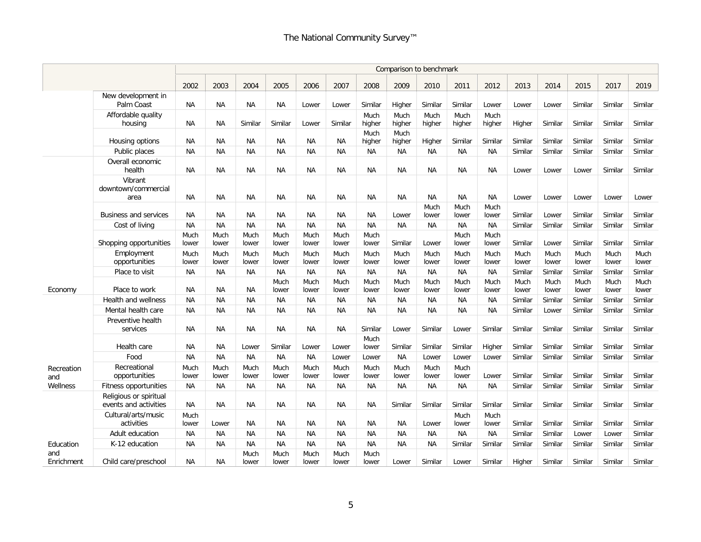|                   |                                                 |               |               |               |               |               |               |                |                | Comparison to benchmark |                |                |               |               |               |               |               |
|-------------------|-------------------------------------------------|---------------|---------------|---------------|---------------|---------------|---------------|----------------|----------------|-------------------------|----------------|----------------|---------------|---------------|---------------|---------------|---------------|
|                   |                                                 | 2002          | 2003          | 2004          | 2005          | 2006          | 2007          | 2008           | 2009           | 2010                    | 2011           | 2012           | 2013          | 2014          | 2015          | 2017          | 2019          |
|                   | New development in<br>Palm Coast                | NA            | <b>NA</b>     | <b>NA</b>     | NA            | Lower         | Lower         | Similar        | Higher         | Similar                 | Similar        | Lower          | Lower         | Lower         | Similar       | Similar       | Similar       |
|                   | Affordable quality<br>housing                   | ΝA            | <b>NA</b>     | Similar       | Similar       | Lower         | Similar       | Much<br>higher | Much<br>higher | Much<br>higher          | Much<br>higher | Much<br>higher | Higher        | Similar       | Similar       | Similar       | Similar       |
|                   | Housing options                                 | <b>NA</b>     | <b>NA</b>     | <b>NA</b>     | <b>NA</b>     | <b>NA</b>     | <b>NA</b>     | Much<br>higher | Much<br>higher | Higher                  | Similar        | Similar        | Similar       | Similar       | Similar       | Similar       | Similar       |
|                   | Public places                                   | <b>NA</b>     | <b>NA</b>     | <b>NA</b>     | <b>NA</b>     | <b>NA</b>     | <b>NA</b>     | NA             | <b>NA</b>      | NA                      | <b>NA</b>      | <b>NA</b>      | Similar       | Similar       | Similar       | Similar       | Similar       |
|                   | Overall economic<br>health                      | <b>NA</b>     | <b>NA</b>     | <b>NA</b>     | <b>NA</b>     | <b>NA</b>     | <b>NA</b>     | <b>NA</b>      | <b>NA</b>      | <b>NA</b>               | <b>NA</b>      | <b>NA</b>      | Lower         | Lower         | Lower         | Similar       | Similar       |
|                   | Vibrant<br>downtown/commercial<br>area          | NA.           | <b>NA</b>     | <b>NA</b>     | NA            | <b>NA</b>     | <b>NA</b>     | <b>NA</b>      | <b>NA</b>      | <b>NA</b>               | <b>NA</b>      | NA             | Lower         | Lower         | Lower         | Lower         | Lower         |
|                   | <b>Business and services</b>                    | NA.           | <b>NA</b>     | <b>NA</b>     | <b>NA</b>     | <b>NA</b>     | <b>NA</b>     | ΝA             | Lower          | Much<br>lower           | Much<br>lower  | Much<br>lower  | Similar       | Lower         | Similar       | Similar       | Similar       |
|                   | Cost of living                                  | <b>NA</b>     | <b>NA</b>     | <b>NA</b>     | <b>NA</b>     | <b>NA</b>     | <b>NA</b>     | <b>NA</b>      | <b>NA</b>      | <b>NA</b>               | <b>NA</b>      | <b>NA</b>      | Similar       | Similar       | Similar       | Similar       | Similar       |
|                   | Shopping opportunities                          | Much<br>lower | Much<br>lower | Much<br>lower | Much<br>lower | Much<br>lower | Much<br>lower | Much<br>lower  | Similar        | Lower                   | Much<br>lower  | Much<br>lower  | Similar       | Lower         | Similar       | Similar       | Similar       |
|                   | Employment<br>opportunities                     | Much<br>lower | Much<br>lower | Much<br>lower | Much<br>lower | Much<br>lower | Much<br>lower | Much<br>lower  | Much<br>lower  | Much<br>lower           | Much<br>lower  | Much<br>lower  | Much<br>lower | Much<br>lower | Much<br>lower | Much<br>lower | Much<br>lower |
|                   | Place to visit                                  | <b>NA</b>     | <b>NA</b>     | <b>NA</b>     | <b>NA</b>     | <b>NA</b>     | <b>NA</b>     | <b>NA</b>      | <b>NA</b>      | <b>NA</b>               | <b>NA</b>      | <b>NA</b>      | Similar       | Similar       | Similar       | Similar       | Similar       |
| Economy           | Place to work                                   | <b>NA</b>     | <b>NA</b>     | <b>NA</b>     | Much<br>lower | Much<br>lower | Much<br>lower | Much<br>lower  | Much<br>lower  | Much<br>lower           | Much<br>lower  | Much<br>lower  | Much<br>lower | Much<br>lower | Much<br>lower | Much<br>lower | Much<br>lower |
|                   | Health and wellness                             | NA            | <b>NA</b>     | <b>NA</b>     | NA            | <b>NA</b>     | <b>NA</b>     | NA             | <b>NA</b>      | NA                      | <b>NA</b>      | <b>NA</b>      | Similar       | Similar       | Similar       | Similar       | Similar       |
|                   | Mental health care                              | <b>NA</b>     | <b>NA</b>     | <b>NA</b>     | <b>NA</b>     | <b>NA</b>     | <b>NA</b>     | <b>NA</b>      | <b>NA</b>      | <b>NA</b>               | <b>NA</b>      | <b>NA</b>      | Similar       | Lower         | Similar       | Similar       | Similar       |
|                   | Preventive health<br>services                   | <b>NA</b>     | <b>NA</b>     | <b>NA</b>     | <b>NA</b>     | <b>NA</b>     | <b>NA</b>     | Similar        | Lower          | Similar                 | Lower          | Similar        | Similar       | Similar       | Similar       | Similar       | Similar       |
|                   | Health care                                     | <b>NA</b>     | <b>NA</b>     | Lower         | Similar       | Lower         | Lower         | Much<br>lower  | Similar        | Similar                 | Similar        | Higher         | Similar       | Similar       | Similar       | Similar       | Similar       |
|                   | Food                                            | <b>NA</b>     | <b>NA</b>     | <b>NA</b>     | <b>NA</b>     | <b>NA</b>     | Lower         | Lower          | <b>NA</b>      | Lower                   | Lower          | Lower          | Similar       | Similar       | Similar       | Similar       | Similar       |
| Recreation<br>and | Recreational<br>opportunities                   | Much<br>lower | Much<br>lower | Much<br>lower | Much<br>lower | Much<br>lower | Much<br>lower | Much<br>lower  | Much<br>lower  | Much<br>lower           | Much<br>lower  | Lower          | Similar       | Similar       | Similar       | Similar       | Similar       |
| Wellness          | Fitness opportunities                           | <b>NA</b>     | <b>NA</b>     | <b>NA</b>     | <b>NA</b>     | <b>NA</b>     | <b>NA</b>     | NA             | <b>NA</b>      | NA                      | <b>NA</b>      | <b>NA</b>      | Similar       | Similar       | Similar       | Similar       | Similar       |
|                   | Religious or spiritual<br>events and activities | <b>NA</b>     | <b>NA</b>     | <b>NA</b>     | <b>NA</b>     | <b>NA</b>     | <b>NA</b>     | <b>NA</b>      | Similar        | Similar                 | Similar        | Similar        | Similar       | Similar       | Similar       | Similar       | Similar       |
|                   | Cultural/arts/music<br>activities               | Much<br>lower | Lower         | <b>NA</b>     | <b>NA</b>     | <b>NA</b>     | <b>NA</b>     | <b>NA</b>      | <b>NA</b>      | Lower                   | Much<br>lower  | Much<br>lower  | Similar       | Similar       | Similar       | Similar       | Similar       |
|                   | Adult education                                 | <b>NA</b>     | <b>NA</b>     | <b>NA</b>     | <b>NA</b>     | <b>NA</b>     | <b>NA</b>     | <b>NA</b>      | <b>NA</b>      | <b>NA</b>               | <b>NA</b>      | <b>NA</b>      | Similar       | Similar       | Lower         | Lower         | Similar       |
| Education         | K-12 education                                  | ΝA            | <b>NA</b>     | <b>NA</b>     | <b>NA</b>     | <b>NA</b>     | <b>NA</b>     | <b>NA</b>      | <b>NA</b>      | <b>NA</b>               | Similar        | Similar        | Similar       | Similar       | Similar       | Similar       | Similar       |
| and<br>Enrichment | Child care/preschool                            | ΝA            | <b>NA</b>     | Much<br>lower | Much<br>lower | Much<br>lower | Much<br>lower | Much<br>lower  | Lower          | Similar                 | Lower          | Similar        | Higher        | Similar       | Similar       | Similar       | Similar       |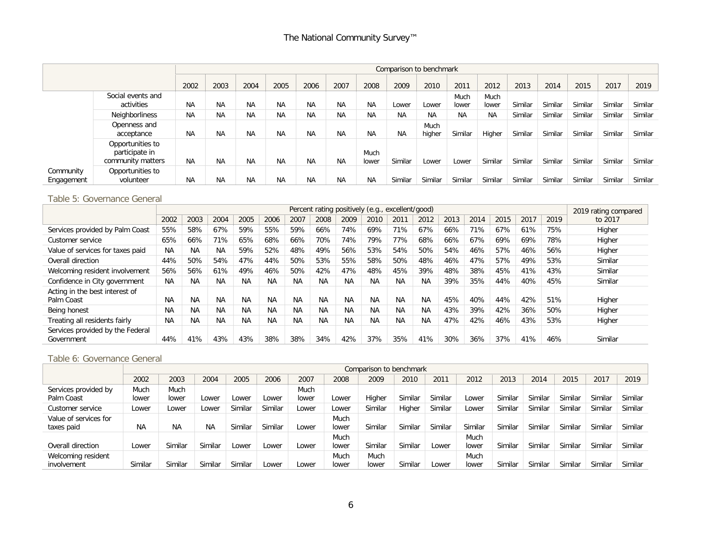|                         |                                                         |           |           |           |           |           |           |               | Comparison to benchmark |                |               |               |         |         |         |         |         |
|-------------------------|---------------------------------------------------------|-----------|-----------|-----------|-----------|-----------|-----------|---------------|-------------------------|----------------|---------------|---------------|---------|---------|---------|---------|---------|
|                         |                                                         | 2002      | 2003      | 2004      | 2005      | 2006      | 2007      | 2008          | 2009                    | 2010           | 2011          | 2012          | 2013    | 2014    | 2015    | 2017    | 2019    |
|                         | Social events and<br>activities                         | NA        | <b>NA</b> | <b>NA</b> | ΝA        | <b>NA</b> | <b>NA</b> | NA            | Lower                   | Lower          | Much<br>lower | Much<br>lower | Similar | Similar | Similar | Similar | Similar |
|                         | Neighborliness                                          | <b>NA</b> | <b>NA</b> | <b>NA</b> | <b>NA</b> | <b>NA</b> | <b>NA</b> | <b>NA</b>     | <b>NA</b>               | <b>NA</b>      | <b>NA</b>     | <b>NA</b>     | Similar | Similar | Similar | Similar | Similar |
|                         | Openness and<br>acceptance                              | <b>NA</b> | <b>NA</b> | <b>NA</b> | ΝA        | <b>NA</b> | <b>NA</b> | <b>NA</b>     | <b>NA</b>               | Much<br>higher | Similar       | Higher        | Similar | Similar | Similar | Similar | Similar |
|                         | Opportunities to<br>participate in<br>community matters | <b>NA</b> | <b>NA</b> | <b>NA</b> | <b>NA</b> | <b>NA</b> | <b>NA</b> | Much<br>lower | Similar                 | Lower          | Lower         | Similar       | Similar | Similar | Similar | Similar | Similar |
| Community<br>Engagement | Opportunities to<br>volunteer                           | ΝA        | <b>NA</b> | <b>NA</b> | ΝA        | <b>NA</b> | <b>NA</b> | <b>NA</b>     | Similar                 | Similar        | Similar       | Similar       | Similar | Similar | Similar | Similar | Similar |

#### Table 5: Governance General

|                                                |           |           |           |           |           |           |           | Percent rating positively (e.g., excellent/good) |           |           |           |      |      |      |      |      | 2019 rating compared |
|------------------------------------------------|-----------|-----------|-----------|-----------|-----------|-----------|-----------|--------------------------------------------------|-----------|-----------|-----------|------|------|------|------|------|----------------------|
|                                                | 2002      | 2003      | 2004      | 2005      | 2006      | 2007      | 2008      | 2009                                             | 2010      | 2011      | 2012      | 2013 | 2014 | 2015 | 2017 | 2019 | to 2017              |
| Services provided by Palm Coast                | 55%       | 58%       | 67%       | 59%       | 55%       | 59%       | 66%       | 74%                                              | 69%       | 71%       | 67%       | 66%  | 71%  | 67%  | 61%  | 75%  | Higher               |
| Customer service                               | 65%       | 66%       | 71%       | 65%       | 68%       | 66%       | 70%       | 74%                                              | 79%       | 77%       | 68%       | 66%  | 67%  | 69%  | 69%  | 78%  | Higher               |
| Value of services for taxes paid               | <b>NA</b> | <b>NA</b> | <b>NA</b> | 59%       | 52%       | 48%       | 49%       | 56%                                              | 53%       | 54%       | 50%       | 54%  | 46%  | 57%  | 46%  | 56%  | Higher               |
| Overall direction                              | 44%       | 50%       | 54%       | 47%       | 44%       | 50%       | 53%       | 55%                                              | 58%       | 50%       | 48%       | 46%  | 47%  | 57%  | 49%  | 53%  | Similar              |
| Welcoming resident involvement                 | 56%       | 56%       | 61%       | 49%       | 46%       | 50%       | 42%       | 47%                                              | 48%       | 45%       | 39%       | 48%  | 38%  | 45%  | 41%  | 43%  | Similar              |
| Confidence in City government                  | <b>NA</b> | <b>NA</b> | <b>NA</b> | <b>NA</b> | <b>NA</b> | <b>NA</b> | <b>NA</b> | <b>NA</b>                                        | <b>NA</b> | <b>NA</b> | <b>NA</b> | 39%  | 35%  | 44%  | 40%  | 45%  | Similar              |
| Acting in the best interest of<br>Palm Coast   | <b>NA</b> | <b>NA</b> | <b>NA</b> | <b>NA</b> | <b>NA</b> | <b>NA</b> | <b>NA</b> | <b>NA</b>                                        | <b>NA</b> | NA.       | <b>NA</b> | 45%  | 40%  | 44%  | 42%  | 51%  | Higher               |
| Being honest                                   | <b>NA</b> | <b>NA</b> | <b>NA</b> | <b>NA</b> | <b>NA</b> | <b>NA</b> | <b>NA</b> | <b>NA</b>                                        | <b>NA</b> | <b>NA</b> | <b>NA</b> | 43%  | 39%  | 42%  | 36%  | 50%  | Higher               |
| Treating all residents fairly                  | <b>NA</b> | <b>NA</b> | <b>NA</b> | <b>NA</b> | <b>NA</b> | <b>NA</b> | <b>NA</b> | <b>NA</b>                                        | <b>NA</b> | NA        | <b>NA</b> | 47%  | 42%  | 46%  | 43%  | 53%  | Higher               |
| Services provided by the Federal<br>Government | 44%       | 41%       | 43%       | 43%       | 38%       | 38%       | 34%       | 42%                                              | 37%       | 35%       | 41%       | 30%  | 36%  | 37%  | 41%  | 46%  | Similar              |

#### Table 6: Governance General

|                       |           |           |           |         |         |       |       | Comparison to benchmark |         |         |         |         |         |         |         |         |
|-----------------------|-----------|-----------|-----------|---------|---------|-------|-------|-------------------------|---------|---------|---------|---------|---------|---------|---------|---------|
|                       | 2002      | 2003      | 2004      | 2005    | 2006    | 2007  | 2008  | 2009                    | 2010    | 2011    | 2012    | 2013    | 2014    | 2015    | 2017    | 2019    |
| Services provided by  | Much      | Much      |           |         |         | Much  |       |                         |         |         |         |         |         |         |         |         |
| Palm Coast            | lower     | lower     | _ower     | Lower   | Lower   | lower | Lower | Higher                  | Similar | Similar | Lower   | Similar | Similar | Similar | Similar | Similar |
| Customer service      | Lower     | Lower     | Lower     | Similar | Similar | Lower | Lower | Similar                 | Higher  | Similar | Lower   | Similar | Similar | Similar | Similar | Similar |
| Value of services for |           |           |           |         |         |       | Much  |                         |         |         |         |         |         |         |         |         |
| taxes paid            | <b>NA</b> | <b>NA</b> | <b>NA</b> | Similar | Similar | Lower | lower | Similar                 | Similar | Similar | Similar | Similar | Similar | Similar | Similar | Similar |
|                       |           |           |           |         |         |       | Much  |                         |         |         | Much    |         |         |         |         |         |
| Overall direction     | Lower     | Similar   | Similar   | Lower   | Lower   | Lower | lower | Similar                 | Similar | Lower   | lower   | Similar | Similar | Similar | Similar | Similar |
| Welcoming resident    |           |           |           |         |         |       | Much  | Much                    |         |         | Much    |         |         |         |         |         |
| involvement           | Similar   | Similar   | Similar   | Similar | Lower   | Lower | lower | lower                   | Similar | Lower   | lower   | Similar | Similar | Similar | Similar | Similar |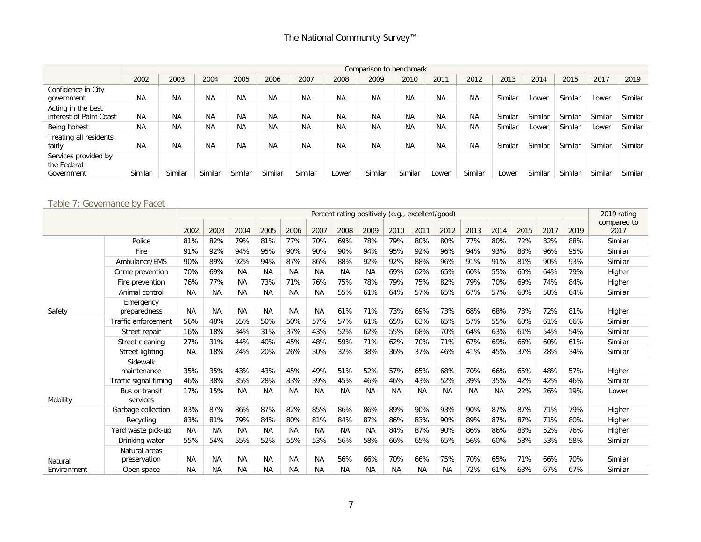|                                                   |           |           |           |           |           |           |           | Comparison to benchmark |           |           |           |         |         |         |         |         |
|---------------------------------------------------|-----------|-----------|-----------|-----------|-----------|-----------|-----------|-------------------------|-----------|-----------|-----------|---------|---------|---------|---------|---------|
|                                                   | 2002      | 2003      | 2004      | 2005      | 2006      | 2007      | 2008      | 2009                    | 2010      | 2011      | 2012      | 2013    | 2014    | 2015    | 2017    | 2019    |
| Confidence in City<br>government                  | <b>NA</b> | <b>NA</b> | <b>NA</b> | <b>NA</b> | <b>NA</b> | <b>NA</b> | <b>NA</b> | <b>NA</b>               | <b>NA</b> | <b>NA</b> | <b>NA</b> | Similar | Lower   | Similar | Lower   | Similar |
| Acting in the best<br>interest of Palm Coast      | <b>NA</b> | <b>NA</b> | <b>NA</b> | <b>NA</b> | <b>NA</b> | <b>NA</b> | <b>NA</b> | ΝA                      | <b>NA</b> | <b>NA</b> | <b>NA</b> | Similar | Similar | Similar | Similar | Similar |
| Being honest                                      | <b>NA</b> | <b>NA</b> | <b>NA</b> | <b>NA</b> | <b>NA</b> | <b>NA</b> | <b>NA</b> | <b>NA</b>               | <b>NA</b> | <b>NA</b> | <b>NA</b> | Similar | Lower   | Similar | Lower   | Similar |
| Treating all residents<br>fairly                  | <b>NA</b> | <b>NA</b> | <b>NA</b> | <b>NA</b> | <b>NA</b> | <b>NA</b> | <b>NA</b> | <b>NA</b>               | <b>NA</b> | <b>NA</b> | <b>NA</b> | Similar | Similar | Similar | Similar | Similar |
| Services provided by<br>the Federal<br>Government | Similar   | Similar   | Similar   | Similar   | Similar   | Similar   | Lower     | Similar                 | Similar   | Lower     | Similar   | Lower   | Similar | Similar | Similar | Similar |

# Table 7: Governance by Facet

|             |                               |           |           |           |           |           |           | Percent rating positively (e.g., excellent/good) |           |           |           |           |           |           |      |      |      | 2019 rating         |
|-------------|-------------------------------|-----------|-----------|-----------|-----------|-----------|-----------|--------------------------------------------------|-----------|-----------|-----------|-----------|-----------|-----------|------|------|------|---------------------|
|             |                               | 2002      | 2003      | 2004      | 2005      | 2006      | 2007      | 2008                                             | 2009      | 2010      | 2011      | 2012      | 2013      | 2014      | 2015 | 2017 | 2019 | compared to<br>2017 |
|             | Police                        | 81%       | 82%       | 79%       | 81%       | 77%       | 70%       | 69%                                              | 78%       | 79%       | 80%       | 80%       | 77%       | 80%       | 72%  | 82%  | 88%  | Similar             |
|             | Fire                          |           |           | 94%       | 95%       | 90%       |           | 90%                                              |           |           |           | 96%       | 94%       |           |      |      | 95%  |                     |
|             |                               | 91%       | 92%       |           |           |           | 90%       |                                                  | 94%       | 95%       | 92%       |           |           | 93%       | 88%  | 96%  |      | Similar             |
|             | Ambulance/EMS                 | 90%       | 89%       | 92%       | 94%       | 87%       | 86%       | 88%                                              | 92%       | 92%       | 88%       | 96%       | 91%       | 91%       | 81%  | 90%  | 93%  | Similar             |
|             | Crime prevention              | 70%       | 69%       | <b>NA</b> | <b>NA</b> | <b>NA</b> | <b>NA</b> | <b>NA</b>                                        | <b>NA</b> | 69%       | 62%       | 65%       | 60%       | 55%       | 60%  | 64%  | 79%  | Higher              |
|             | Fire prevention               | 76%       | 77%       | <b>NA</b> | 73%       | 71%       | 76%       | 75%                                              | 78%       | 79%       | 75%       | 82%       | 79%       | 70%       | 69%  | 74%  | 84%  | Higher              |
|             | Animal control                | <b>NA</b> | <b>NA</b> | <b>NA</b> | <b>NA</b> | <b>NA</b> | <b>NA</b> | 55%                                              | 61%       | 64%       | 57%       | 65%       | 67%       | 57%       | 60%  | 58%  | 64%  | Similar             |
| Safety      | Emergency<br>preparedness     | ΝA        | <b>NA</b> | <b>NA</b> | <b>NA</b> | <b>NA</b> | <b>NA</b> | 61%                                              | 71%       | 73%       | 69%       | 73%       | 68%       | 68%       | 73%  | 72%  | 81%  | Higher              |
|             | Traffic enforcement           | 56%       | 48%       | 55%       | 50%       | 50%       | 57%       | 57%                                              | 61%       | 65%       | 63%       | 65%       | 57%       | 55%       | 60%  | 61%  | 66%  | Similar             |
|             | Street repair                 | 16%       | 18%       | 34%       | 31%       | 37%       | 43%       | 52%                                              | 62%       | 55%       | 68%       | 70%       | 64%       | 63%       | 61%  | 54%  | 54%  | Similar             |
|             | Street cleaning               | 27%       | 31%       | 44%       | 40%       | 45%       | 48%       | 59%                                              | 71%       | 62%       | 70%       | 71%       | 67%       | 69%       | 66%  | 60%  | 61%  | Similar             |
|             | <b>Street lighting</b>        | <b>NA</b> | 18%       | 24%       | 20%       | 26%       | 30%       | 32%                                              | 38%       | 36%       | 37%       | 46%       | 41%       | 45%       | 37%  | 28%  | 34%  | Similar             |
|             | Sidewalk<br>maintenance       | 35%       | 35%       | 43%       | 43%       | 45%       | 49%       | 51%                                              | 52%       | 57%       | 65%       | 68%       | 70%       | 66%       | 65%  | 48%  | 57%  | Higher              |
|             | Traffic signal timing         | 46%       | 38%       | 35%       | 28%       | 33%       | 39%       | 45%                                              | 46%       | 46%       | 43%       | 52%       | 39%       | 35%       | 42%  | 42%  | 46%  | Similar             |
| Mobility    | Bus or transit<br>services    | 17%       | 15%       | <b>NA</b> | <b>NA</b> | <b>NA</b> | <b>NA</b> | <b>NA</b>                                        | <b>NA</b> | <b>NA</b> | <b>NA</b> | NA        | <b>NA</b> | <b>NA</b> | 22%  | 26%  | 19%  | Lower               |
|             | Garbage collection            | 83%       | 87%       | 86%       | 87%       | 82%       | 85%       | 86%                                              | 86%       | 89%       | 90%       | 93%       | 90%       | 87%       | 87%  | 71%  | 79%  | Higher              |
|             | Recycling                     | 83%       | 81%       | 79%       | 84%       | 80%       | 81%       | 84%                                              | 87%       | 86%       | 83%       | 90%       | 89%       | 87%       | 87%  | 71%  | 80%  | Higher              |
|             | Yard waste pick-up            | <b>NA</b> | <b>NA</b> | <b>NA</b> | <b>NA</b> | <b>NA</b> | <b>NA</b> | <b>NA</b>                                        | <b>NA</b> | 84%       | 87%       | 90%       | 86%       | 86%       | 83%  | 52%  | 76%  | Higher              |
|             | Drinking water                | 55%       | 54%       | 55%       | 52%       | 55%       | 53%       | 56%                                              | 58%       | 66%       | 65%       | 65%       | 56%       | 60%       | 58%  | 53%  | 58%  | Similar             |
| Natural     | Natural areas<br>preservation | ΝA        | <b>NA</b> | <b>NA</b> | <b>NA</b> | <b>NA</b> | <b>NA</b> | 56%                                              | 66%       | 70%       | 66%       | 75%       | 70%       | 65%       | 71%  | 66%  | 70%  | Similar             |
| Environment | Open space                    | <b>NA</b> | <b>NA</b> | <b>NA</b> | <b>NA</b> | <b>NA</b> | <b>NA</b> | <b>NA</b>                                        | <b>NA</b> | <b>NA</b> | <b>NA</b> | <b>NA</b> | 72%       | 61%       | 63%  | 67%  | 67%  | Similar             |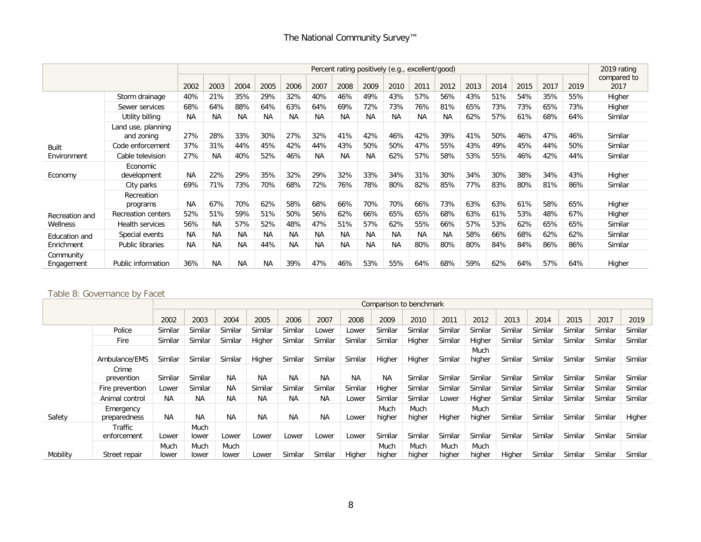|                         |                                  |           |           |           |           |           |           | Percent rating positively (e.g., excellent/good) |           |           |           |           |      |      |      |      |      | 2019 rating         |
|-------------------------|----------------------------------|-----------|-----------|-----------|-----------|-----------|-----------|--------------------------------------------------|-----------|-----------|-----------|-----------|------|------|------|------|------|---------------------|
|                         |                                  | 2002      | 2003      | 2004      | 2005      | 2006      | 2007      | 2008                                             | 2009      | 2010      | 2011      | 2012      | 2013 | 2014 | 2015 | 2017 | 2019 | compared to<br>2017 |
|                         | Storm drainage                   | 40%       | 21%       | 35%       | 29%       | 32%       | 40%       | 46%                                              | 49%       | 43%       | 57%       | 56%       | 43%  | 51%  | 54%  | 35%  | 55%  | Higher              |
|                         | Sewer services                   | 68%       | 64%       | 88%       | 64%       | 63%       | 64%       | 69%                                              | 72%       | 73%       | 76%       | 81%       | 65%  | 73%  | 73%  | 65%  | 73%  | Higher              |
|                         | Utility billing                  | <b>NA</b> | <b>NA</b> | <b>NA</b> | <b>NA</b> | <b>NA</b> | <b>NA</b> | <b>NA</b>                                        | <b>NA</b> | <b>NA</b> | <b>NA</b> | <b>NA</b> | 62%  | 57%  | 61%  | 68%  | 64%  | Similar             |
|                         | Land use, planning<br>and zoning | 27%       | 28%       | 33%       | 30%       | 27%       | 32%       | 41%                                              | 42%       | 46%       | 42%       | 39%       | 41%  | 50%  | 46%  | 47%  | 46%  | Similar             |
| <b>Built</b>            | Code enforcement                 | 37%       | 31%       | 44%       | 45%       | 42%       | 44%       | 43%                                              | 50%       | 50%       | 47%       | 55%       | 43%  | 49%  | 45%  | 44%  | 50%  | Similar             |
| Environment             | Cable television                 | 27%       | <b>NA</b> | 40%       | 52%       | 46%       | <b>NA</b> | <b>NA</b>                                        | <b>NA</b> | 62%       | 57%       | 58%       | 53%  | 55%  | 46%  | 42%  | 44%  | Similar             |
| Economy                 | Economic<br>development          | <b>NA</b> | 22%       | 29%       | 35%       | 32%       | 29%       | 32%                                              | 33%       | 34%       | 31%       | 30%       | 34%  | 30%  | 38%  | 34%  | 43%  | Higher              |
|                         | City parks                       | 69%       | 71%       | 73%       | 70%       | 68%       | 72%       | 76%                                              | 78%       | 80%       | 82%       | 85%       | 77%  | 83%  | 80%  | 81%  | 86%  | Similar             |
|                         | Recreation<br>programs           | <b>NA</b> | 67%       | 70%       | 62%       | 58%       | 68%       | 66%                                              | 70%       | 70%       | 66%       | 73%       | 63%  | 63%  | 61%  | 58%  | 65%  | Higher              |
| Recreation and          | Recreation centers               | 52%       | 51%       | 59%       | 51%       | 50%       | 56%       | 62%                                              | 66%       | 65%       | 65%       | 68%       | 63%  | 61%  | 53%  | 48%  | 67%  | Higher              |
| Wellness                | Health services                  | 56%       | <b>NA</b> | 57%       | 52%       | 48%       | 47%       | 51%                                              | 57%       | 62%       | 55%       | 66%       | 57%  | 53%  | 62%  | 65%  | 65%  | Similar             |
| Education and           | Special events                   | <b>NA</b> | <b>NA</b> | <b>NA</b> | <b>NA</b> | <b>NA</b> | <b>NA</b> | <b>NA</b>                                        | <b>NA</b> | <b>NA</b> | <b>NA</b> | <b>NA</b> | 58%  | 66%  | 68%  | 62%  | 62%  | Similar             |
| Enrichment              | Public libraries                 | <b>NA</b> | <b>NA</b> | <b>NA</b> | 44%       | <b>NA</b> | <b>NA</b> | <b>NA</b>                                        | <b>NA</b> | <b>NA</b> | 80%       | 80%       | 80%  | 84%  | 84%  | 86%  | 86%  | Similar             |
| Community<br>Engagement | Public information               | 36%       | <b>NA</b> | <b>NA</b> | <b>NA</b> | 39%       | 47%       | 46%                                              | 53%       | 55%       | 64%       | 68%       | 59%  | 62%  | 64%  | 57%  | 64%  | Higher              |

# Table 8: Governance by Facet

|          |                           |               |               |               |           |           |           |           |                | Comparison to benchmark |                |                |         |         |         |         |         |
|----------|---------------------------|---------------|---------------|---------------|-----------|-----------|-----------|-----------|----------------|-------------------------|----------------|----------------|---------|---------|---------|---------|---------|
|          |                           | 2002          | 2003          | 2004          | 2005      | 2006      | 2007      | 2008      | 2009           | 2010                    | 2011           | 2012           | 2013    | 2014    | 2015    | 2017    | 2019    |
|          | Police                    | Similar       | Similar       | Similar       | Similar   | Similar   | Lower     | Lower     | Similar        | Similar                 | Similar        | Similar        | Similar | Similar | Similar | Similar | Similar |
|          | Fire                      | Similar       | Similar       | Similar       | Higher    | Similar   | Similar   | Similar   | Similar        | Higher                  | Similar        | Higher         | Similar | Similar | Similar | Similar | Similar |
|          | Ambulance/EMS             | Similar       | Similar       | Similar       | Higher    | Similar   | Similar   | Similar   | Higher         | Higher                  | Similar        | Much<br>higher | Similar | Similar | Similar | Similar | Similar |
|          | Crime<br>prevention       | Similar       | Similar       | <b>NA</b>     | <b>NA</b> | <b>NA</b> | <b>NA</b> | <b>NA</b> | <b>NA</b>      | Similar                 | Similar        | Similar        | Similar | Similar | Similar | Similar | Similar |
|          | Fire prevention           | Lower         | Similar       | <b>NA</b>     | Similar   | Similar   | Similar   | Similar   | Higher         | Similar                 | Similar        | Similar        | Similar | Similar | Similar | Similar | Similar |
|          | Animal control            | <b>NA</b>     | <b>NA</b>     | <b>NA</b>     | <b>NA</b> | <b>NA</b> | <b>NA</b> | Lower     | Similar        | Similar                 | Lower          | Higher         | Similar | Similar | Similar | Similar | Similar |
| Safety   | Emergency<br>preparedness | <b>NA</b>     | <b>NA</b>     | <b>NA</b>     | <b>NA</b> | <b>NA</b> | <b>NA</b> | Lower     | Much<br>higher | Much<br>higher          | Higher         | Much<br>higher | Similar | Similar | Similar | Similar | Higher  |
|          | Traffic<br>enforcement    | Lower         | Much<br>lower | Lower         | Lower     | Lower     | Lower     | Lower     | Similar        | Similar                 | Similar        | Similar        | Similar | Similar | Similar | Similar | Similar |
| Mobility | Street repair             | Much<br>lower | Much<br>lower | Much<br>lower | Lower     | Similar   | Similar   | Higher    | Much<br>higher | Much<br>higher          | Much<br>higher | Much<br>higher | Higher  | Similar | Similar | Similar | Similar |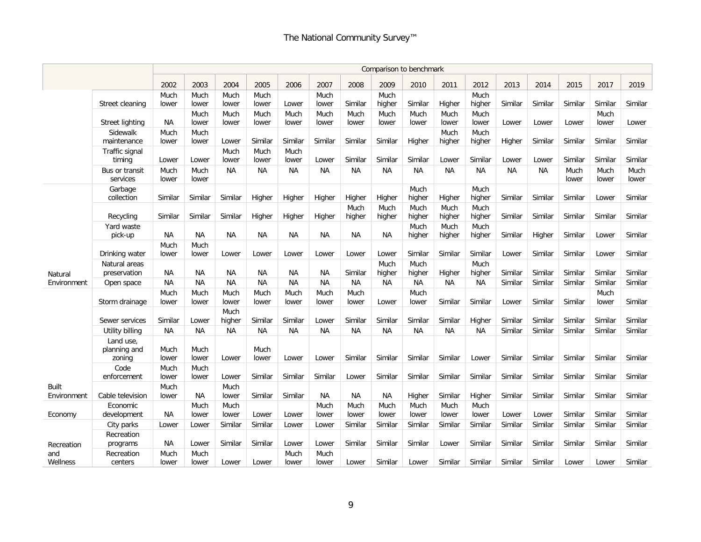|                             |                                     |               |               |                |               |               |               |                | Comparison to benchmark |                |                |                |           |           |               |               |               |
|-----------------------------|-------------------------------------|---------------|---------------|----------------|---------------|---------------|---------------|----------------|-------------------------|----------------|----------------|----------------|-----------|-----------|---------------|---------------|---------------|
|                             |                                     | 2002          | 2003          | 2004           | 2005          | 2006          | 2007          | 2008           | 2009                    | 2010           | 2011           | 2012           | 2013      | 2014      | 2015          | 2017          | 2019          |
|                             |                                     | Much          | Much          | Much           | Much          |               | Much          |                | Much                    |                |                | Much           |           |           |               |               |               |
|                             | Street cleaning                     | lower         | lower         | lower          | lower         | Lower         | lower         | Similar        | higher                  | Similar        | Higher         | higher         | Similar   | Similar   | Similar       | Similar       | Similar       |
|                             | Street lighting                     | NA            | Much<br>lower | Much<br>lower  | Much<br>lower | Much<br>lower | Much<br>lower | Much<br>lower  | Much<br>lower           | Much<br>lower  | Much<br>lower  | Much<br>lower  | Lower     | Lower     | Lower         | Much<br>lower | Lower         |
|                             | Sidewalk                            | Much          | Much          |                |               |               |               |                |                         |                | Much           | Much           |           |           |               |               |               |
|                             | maintenance                         | lower         | lower         | Lower          | Similar       | Similar       | Similar       | Similar        | Similar                 | Higher         | higher         | higher         | Higher    | Similar   | Similar       | Similar       | Similar       |
|                             | Traffic signal<br>timing            | Lower         | Lower         | Much<br>lower  | Much<br>lower | Much<br>lower | Lower         | Similar        | Similar                 | Similar        | Lower          | Similar        | Lower     | Lower     | Similar       | Similar       | Similar       |
|                             | Bus or transit<br>services          | Much<br>lower | Much<br>lower | <b>NA</b>      | ΝA            | NА            | <b>NA</b>     | <b>NA</b>      | <b>NA</b>               | ΝA             | ΝA             | ΝA             | <b>NA</b> | <b>NA</b> | Much<br>lower | Much<br>lower | Much<br>lower |
|                             | Garbage<br>collection               | Similar       | Similar       | Similar        | Higher        | Higher        | Higher        | Higher         | Higher                  | Much<br>higher | Higher         | Much<br>higher | Similar   | Similar   | Similar       | Lower         | Similar       |
|                             | Recycling                           | Similar       | Similar       | Similar        | Higher        | Higher        | Higher        | Much<br>higher | Much<br>higher          | Much<br>higher | Much<br>higher | Much<br>higher | Similar   | Similar   | Similar       | Similar       | Similar       |
|                             | Yard waste<br>pick-up               | <b>NA</b>     | <b>NA</b>     | <b>NA</b>      | <b>NA</b>     | <b>NA</b>     | <b>NA</b>     | <b>NA</b>      | <b>NA</b>               | Much<br>higher | Much<br>higher | Much<br>higher | Similar   | Higher    | Similar       | Lower         | Similar       |
|                             |                                     | Much          | Much          |                |               |               |               |                |                         |                |                |                |           |           |               |               |               |
|                             | Drinking water                      | lower         | lower         | Lower          | Lower         | Lower         | Lower         | Lower          | Lower                   | Similar        | Similar        | Similar        | Lower     | Similar   | Similar       | Lower         | Similar       |
| Natural                     | Natural areas<br>preservation       | <b>NA</b>     | NA            | <b>NA</b>      | <b>NA</b>     | <b>NA</b>     | <b>NA</b>     | Similar        | Much<br>higher          | Much<br>higher | Higher         | Much<br>higher | Similar   | Similar   | Similar       | Similar       | Similar       |
| Environment                 | Open space                          | <b>NA</b>     | <b>NA</b>     | <b>NA</b>      | <b>NA</b>     | <b>NA</b>     | <b>NA</b>     | <b>NA</b>      | <b>NA</b>               | <b>NA</b>      | <b>NA</b>      | <b>NA</b>      | Similar   | Similar   | Similar       | Similar       | Similar       |
|                             |                                     | Much          | Much          | Much           | Much          | Much          | Much          | Much           |                         | Much           |                |                |           |           |               | Much          |               |
|                             | Storm drainage                      | lower         | lower         | lower          | lower         | lower         | lower         | lower          | Lower                   | lower          | Similar        | Similar        | Lower     | Similar   | Similar       | lower         | Similar       |
|                             | Sewer services                      | Similar       | Lower         | Much<br>higher | Similar       | Similar       | Lower         | Similar        | Similar                 | Similar        | Similar        | Higher         | Similar   | Similar   | Similar       | Similar       | Similar       |
|                             | Utility billing                     | NA            | <b>NA</b>     | <b>NA</b>      | <b>NA</b>     | <b>NA</b>     | <b>NA</b>     | <b>NA</b>      | <b>NA</b>               | <b>NA</b>      | <b>NA</b>      | <b>NA</b>      | Similar   | Similar   | Similar       | Similar       | Similar       |
|                             | Land use.<br>planning and<br>zoning | Much<br>lower | Much<br>lower | Lower          | Much<br>lower | Lower         | Lower         | Similar        | Similar                 | Similar        | Similar        | Lower          | Similar   | Similar   | Similar       | Similar       | Similar       |
|                             | Code<br>enforcement                 | Much<br>lower | Much<br>lower | Lower          | Similar       | Similar       | Similar       | Lower          | Similar                 | Similar        | Similar        | Similar        | Similar   | Similar   | Similar       | Similar       | Similar       |
| <b>Built</b><br>Environment | Cable television                    | Much<br>lower | <b>NA</b>     | Much<br>lower  | Similar       | Similar       | <b>NA</b>     | <b>NA</b>      | NA                      | Higher         | Similar        | Higher         | Similar   | Similar   | Similar       | Similar       | Similar       |
| Economy                     | Economic<br>development             | ΝA            | Much<br>lower | Much<br>lower  | Lower         | Lower         | Much<br>lower | Much<br>lower  | Much<br>lower           | Much<br>lower  | Much<br>lower  | Much<br>lower  | Lower     | Lower     | Similar       | Similar       | Similar       |
|                             | City parks                          | Lower         | Lower         | Similar        | Similar       | Lower         | Lower         | Similar        | Similar                 | Similar        | Similar        | Similar        | Similar   | Similar   | Similar       | Similar       | Similar       |
|                             | Recreation                          |               |               |                |               |               |               |                |                         |                |                |                |           |           |               |               |               |
| Recreation<br>and           | programs                            | ΝA<br>Much    | Lower         | Similar        | Similar       | Lower         | Lower<br>Much | Similar        | Similar                 | Similar        | Lower          | Similar        | Similar   | Similar   | Similar       | Similar       | Similar       |
| Wellness                    | Recreation<br>centers               | lower         | Much<br>lower | Lower          | Lower         | Much<br>lower | lower         | Lower          | Similar                 | Lower          | Similar        | Similar        | Similar   | Similar   | Lower         | Lower         | Similar       |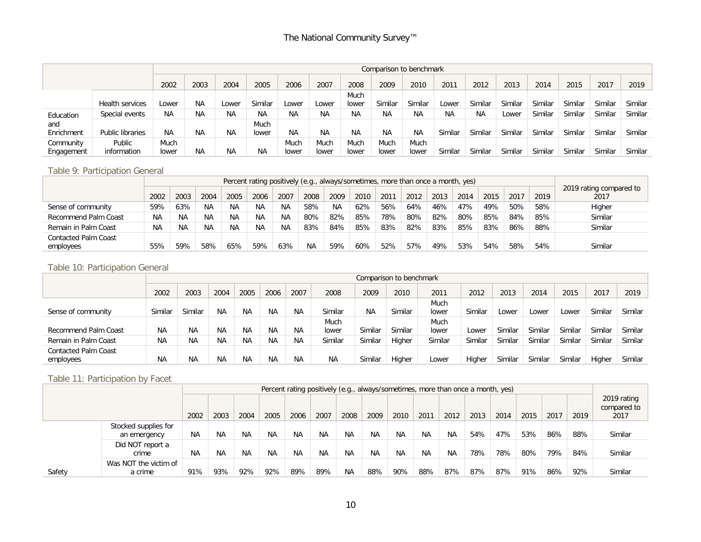|            |                         |           |           |       |           |           |           |           |           | Comparison to benchmark |           |           |         |         |         |         |         |
|------------|-------------------------|-----------|-----------|-------|-----------|-----------|-----------|-----------|-----------|-------------------------|-----------|-----------|---------|---------|---------|---------|---------|
|            |                         | 2002      | 2003      | 2004  | 2005      | 2006      | 2007      | 2008      | 2009      | 2010                    | 2011      | 2012      | 2013    | 2014    | 2015    | 2017    | 2019    |
|            |                         |           |           |       |           |           |           | Much      |           |                         |           |           |         |         |         |         |         |
|            | <b>Health services</b>  | Lower     | NA        | Lower | Similar   | Lower     | Lower     | lower     | Similar   | Similar                 | Lower     | Similar   | Similar | Similar | Similar | Similar | Similar |
| Education  | Special events          | <b>NA</b> | NA        | ΝA    | <b>NA</b> | <b>NA</b> | <b>NA</b> | <b>NA</b> | <b>NA</b> | <b>NA</b>               | <b>NA</b> | <b>NA</b> | Lower   | Similar | Similar | Similar | Similar |
| and        |                         |           |           |       | Much      |           |           |           |           |                         |           |           |         |         |         |         |         |
| Enrichment | <b>Public libraries</b> | <b>NA</b> | <b>NA</b> | ΝA    | lower     | <b>NA</b> | <b>NA</b> | <b>NA</b> | <b>NA</b> | <b>NA</b>               | Similar   | Similar   | Similar | Similar | Similar | Similar | Similar |
| Community  | Public                  | Much      |           |       |           | Much      | Much      | Much      | Much      | Much                    |           |           |         |         |         |         |         |
| Engagement | information             | lower     | <b>NA</b> | ΝA    | <b>NA</b> | Iower     | ower      | lower     | lower     | lower                   | Similar   | Similar   | Similar | Similar | Similar | Similar | Similar |

# Table 9: Participation General

|                             |           |           |           |           |      |           |           |           |      |      | Percent rating positively (e.g., always/sometimes, more than once a month, yes) |      |      |      |      |      |                         |
|-----------------------------|-----------|-----------|-----------|-----------|------|-----------|-----------|-----------|------|------|---------------------------------------------------------------------------------|------|------|------|------|------|-------------------------|
|                             |           |           |           |           |      |           |           |           |      |      |                                                                                 |      |      |      |      |      | 2019 rating compared to |
|                             | 2002      | 2003      | 2004      | 2005      | 2006 | 2007      | 2008      | 2009      | 2010 | 2011 | 2012                                                                            | 2013 | 2014 | 2015 | 2017 | 2019 | 2017                    |
| Sense of community          | 59%       | 63%       | <b>NA</b> | <b>NA</b> | NA   | ΝA        | 58%       | <b>NA</b> | 62%  | 56%  | 64%                                                                             | 46%  | 47%  | 49%  | 50%  | 58%  | Higher                  |
| Recommend Palm Coast        | <b>NA</b> | <b>NA</b> | <b>NA</b> | <b>NA</b> | NA   | <b>NA</b> | 80%       | 82%       | 85%  | 78%  | 80%                                                                             | 82%  | 80%  | 85%  | 84%  | 85%  | Similar                 |
| Remain in Palm Coast        | <b>NA</b> | <b>NA</b> | NA        | <b>NA</b> | ΝA   | <b>NA</b> | 83%       | 84%       | 85%  | 83%  | 82%                                                                             | 83%  | 85%  | 83%  | 86%  | 88%  | Similar                 |
| <b>Contacted Palm Coast</b> |           |           |           |           |      |           |           |           |      |      |                                                                                 |      |      |      |      |      |                         |
| employees                   | 55%       | 59%       | 58%       | 65%       | 59%  | 63%       | <b>NA</b> | 59%       | 60%  | 52%  | 57%                                                                             | 49%  | 53%  | 54%  | 58%  | 54%  | Similar                 |

# Table 10: Participation General

|                             |           |           |           |           |           |           |           |           | Comparison to benchmark |         |         |         |         |         |         |         |
|-----------------------------|-----------|-----------|-----------|-----------|-----------|-----------|-----------|-----------|-------------------------|---------|---------|---------|---------|---------|---------|---------|
|                             | 2002      | 2003      | 2004      | 2005      | 2006      | 2007      | 2008      | 2009      | 2010                    | 201'    | 2012    | 2013    | 2014    | 2015    | 2017    | 2019    |
|                             |           |           |           |           |           |           |           |           |                         | Much    |         |         |         |         |         |         |
| Sense of community          | Similar   | Similar   | <b>NA</b> | <b>NA</b> | <b>NA</b> | <b>NA</b> | Similar   | <b>NA</b> | Similar                 | lower   | Similar | Lower   | Lower   | Lower   | Similar | Similar |
|                             |           |           |           |           |           |           | Much      |           |                         | Much    |         |         |         |         |         |         |
| Recommend Palm Coast        | <b>NA</b> | <b>NA</b> | NA.       | ΝA        | <b>NA</b> | <b>NA</b> | lower     | Similar   | Similar                 | lower   | Lower   | Similar | Similar | Similar | Similar | Similar |
| Remain in Palm Coast        | ΝA        | <b>NA</b> | ΝA        | ΝA        | <b>NA</b> | <b>NA</b> | Similar   | Similar   | Higher                  | Similar | Similar | Similar | Similar | Similar | Similar | Similar |
| <b>Contacted Palm Coast</b> |           |           |           |           |           |           |           |           |                         |         |         |         |         |         |         |         |
| employees                   | ΝA        | <b>NA</b> | NΑ        | ΝA        | <b>NA</b> | <b>NA</b> | <b>NA</b> | Similar   | Higher                  | Lower   | Higher  | Similar | Similar | Similar | Higher  | Similar |

# Table 11: Participation by Facet

|        |                                      |           |           |           |           |           |           | Percent rating positively (e.g., always/sometimes, more than once a month, yes) |           |           |           |           |      |      |      |      |      |                                    |
|--------|--------------------------------------|-----------|-----------|-----------|-----------|-----------|-----------|---------------------------------------------------------------------------------|-----------|-----------|-----------|-----------|------|------|------|------|------|------------------------------------|
|        |                                      | 2002      | 2003      | 2004      | 2005      | 2006      | 2007      | 2008                                                                            | 2009      | 2010      | 201       | 2012      | 2013 | 2014 | 2015 | 2017 | 2019 | 2019 rating<br>compared to<br>2017 |
|        | Stocked supplies for<br>an emergency | NA        | <b>NA</b> | <b>NA</b> | <b>NA</b> | <b>NA</b> | <b>NA</b> | <b>NA</b>                                                                       | <b>NA</b> | <b>NA</b> | <b>NA</b> | <b>NA</b> | 54%  | 47%  | 53%  | 86%  | 88%  | Similar                            |
|        | Did NOT report a<br>crime            | <b>NA</b> | <b>NA</b> | <b>NA</b> | <b>NA</b> | <b>NA</b> | <b>NA</b> | <b>NA</b>                                                                       | NA.       | <b>NA</b> | <b>NA</b> | <b>NA</b> | 78%  | 78%  | 80%  | 79%  | 84%  | Similar                            |
| Safety | Was NOT the victim of<br>a crime     | 91%       | 93%       | 92%       | 92%       | 89%       | 89%       | <b>NA</b>                                                                       | 88%       | 90%       | 88%       | 87%       | 87%  | 87%  | 91%  | 86%  | 92%  | Similar                            |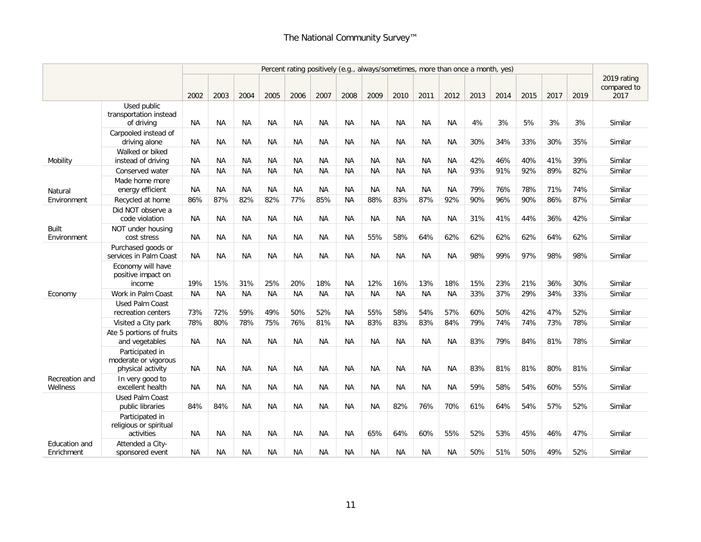|                             |                                                              |           |           |           |           |           |           |           |           |           |           | Percent rating positively (e.g., always/sometimes, more than once a month, yes) |      |      |      |      |      |                     |
|-----------------------------|--------------------------------------------------------------|-----------|-----------|-----------|-----------|-----------|-----------|-----------|-----------|-----------|-----------|---------------------------------------------------------------------------------|------|------|------|------|------|---------------------|
|                             |                                                              |           |           |           |           |           |           |           |           |           |           |                                                                                 |      |      |      |      |      | 2019 rating         |
|                             |                                                              | 2002      | 2003      | 2004      | 2005      | 2006      | 2007      | 2008      | 2009      | 2010      | 2011      | 2012                                                                            | 2013 | 2014 | 2015 | 2017 | 2019 | compared to<br>2017 |
|                             | Used public<br>transportation instead<br>of driving          | <b>NA</b> | ΝA        | ΝA        | ΝA        | ΝA        | ΝA        | ΝA        | ΝA        | ΝA        | ΝA        | ΝA                                                                              | 4%   | 3%   | 5%   | 3%   | 3%   | Similar             |
|                             | Carpooled instead of<br>driving alone                        | <b>NA</b> | <b>NA</b> | <b>NA</b> | <b>NA</b> | <b>NA</b> | <b>NA</b> | <b>NA</b> | NA.       | <b>NA</b> | <b>NA</b> | <b>NA</b>                                                                       | 30%  | 34%  | 33%  | 30%  | 35%  | Similar             |
| Mobility                    | Walked or biked<br>instead of driving                        | <b>NA</b> | <b>NA</b> | <b>NA</b> | <b>NA</b> | <b>NA</b> | <b>NA</b> | <b>NA</b> | <b>NA</b> | <b>NA</b> | <b>NA</b> | <b>NA</b>                                                                       | 42%  | 46%  | 40%  | 41%  | 39%  | Similar             |
|                             | Conserved water                                              | <b>NA</b> | <b>NA</b> | <b>NA</b> | <b>NA</b> | <b>NA</b> | <b>NA</b> | <b>NA</b> | <b>NA</b> | <b>NA</b> | <b>NA</b> | <b>NA</b>                                                                       | 93%  | 91%  | 92%  | 89%  | 82%  | Similar             |
| Natural                     | Made home more<br>energy efficient                           | <b>NA</b> | NA        | <b>NA</b> | <b>NA</b> | <b>NA</b> | ΝA        | <b>NA</b> | <b>NA</b> | ΝA        | <b>NA</b> | <b>NA</b>                                                                       | 79%  | 76%  | 78%  | 71%  | 74%  | Similar             |
| Environment                 | Recycled at home                                             | 86%       | 87%       | 82%       | 82%       | 77%       | 85%       | <b>NA</b> | 88%       | 83%       | 87%       | 92%                                                                             | 90%  | 96%  | 90%  | 86%  | 87%  | Similar             |
|                             | Did NOT observe a<br>code violation                          | ΝA        | <b>NA</b> | <b>NA</b> | <b>NA</b> | <b>NA</b> | <b>NA</b> | <b>NA</b> | <b>NA</b> | <b>NA</b> | <b>NA</b> | <b>NA</b>                                                                       | 31%  | 41%  | 44%  | 36%  | 42%  | Similar             |
| Built<br>Environment        | NOT under housing<br>cost stress                             | <b>NA</b> | <b>NA</b> | <b>NA</b> | <b>NA</b> | <b>NA</b> | <b>NA</b> | <b>NA</b> | 55%       | 58%       | 64%       | 62%                                                                             | 62%  | 62%  | 62%  | 64%  | 62%  | Similar             |
|                             | Purchased goods or<br>services in Palm Coast                 | <b>NA</b> | <b>NA</b> | <b>NA</b> | <b>NA</b> | <b>NA</b> | <b>NA</b> | <b>NA</b> | <b>NA</b> | <b>NA</b> | <b>NA</b> | <b>NA</b>                                                                       | 98%  | 99%  | 97%  | 98%  | 98%  | Similar             |
|                             | Economy will have<br>positive impact on<br>income            | 19%       | 15%       | 31%       | 25%       | 20%       | 18%       | ΝA        | 12%       | 16%       | 13%       | 18%                                                                             | 15%  | 23%  | 21%  | 36%  | 30%  | Similar             |
| Economy                     | Work in Palm Coast                                           | <b>NA</b> | NA        | ΝA        | <b>NA</b> | <b>NA</b> | <b>NA</b> | ΝA        | <b>NA</b> | <b>NA</b> | <b>NA</b> | <b>NA</b>                                                                       | 33%  | 37%  | 29%  | 34%  | 33%  | Similar             |
|                             | <b>Used Palm Coast</b><br>recreation centers                 | 73%       | 72%       | 59%       | 49%       | 50%       | 52%       | <b>NA</b> | 55%       | 58%       | 54%       | 57%                                                                             | 60%  | 50%  | 42%  | 47%  | 52%  | Similar             |
|                             | Visited a City park                                          | 78%       | 80%       | 78%       | 75%       | 76%       | 81%       | <b>NA</b> | 83%       | 83%       | 83%       | 84%                                                                             | 79%  | 74%  | 74%  | 73%  | 78%  | Similar             |
|                             | Ate 5 portions of fruits<br>and vegetables                   | <b>NA</b> | <b>NA</b> | <b>NA</b> | <b>NA</b> | <b>NA</b> | <b>NA</b> | <b>NA</b> | <b>NA</b> | <b>NA</b> | ΝA        | <b>NA</b>                                                                       | 83%  | 79%  | 84%  | 81%  | 78%  | Similar             |
|                             | Participated in<br>moderate or vigorous<br>physical activity | <b>NA</b> | ΝA        | ΝA        | ΝA        | <b>NA</b> | ΝA        | ΝA        | ΝA        | ΝA        | ΝA        | NА                                                                              | 83%  | 81%  | 81%  | 80%  | 81%  | Similar             |
| Recreation and<br>Wellness  | In very good to<br>excellent health                          | <b>NA</b> | <b>NA</b> | <b>NA</b> | <b>NA</b> | <b>NA</b> | <b>NA</b> | <b>NA</b> | <b>NA</b> | <b>NA</b> | <b>NA</b> | <b>NA</b>                                                                       | 59%  | 58%  | 54%  | 60%  | 55%  | Similar             |
|                             | <b>Used Palm Coast</b><br>public libraries                   | 84%       | 84%       | <b>NA</b> | <b>NA</b> | <b>NA</b> | <b>NA</b> | <b>NA</b> | <b>NA</b> | 82%       | 76%       | 70%                                                                             | 61%  | 64%  | 54%  | 57%  | 52%  | Similar             |
|                             | Participated in<br>religious or spiritual<br>activities      | <b>NA</b> | <b>NA</b> | ΝA        | <b>NA</b> | <b>NA</b> | <b>NA</b> | <b>NA</b> | 65%       | 64%       | 60%       | 55%                                                                             | 52%  | 53%  | 45%  | 46%  | 47%  | Similar             |
| Education and<br>Enrichment | Attended a City-<br>sponsored event                          | ΝA        | ΝA        | ΝA        | ΝA        | ΝA        | ΝA        | ΝA        | NА        | ΝA        | ΝA        | NА                                                                              | 50%  | 51%  | 50%  | 49%  | 52%  | Similar             |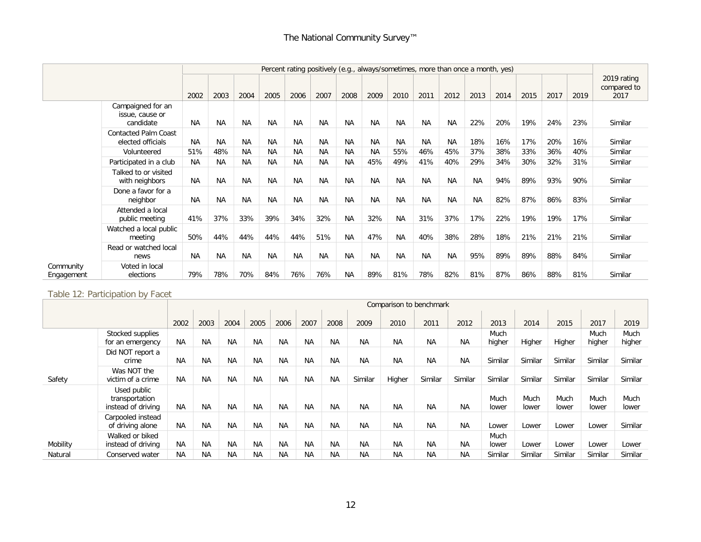|                         |                                                   |           |           |           |           |           |           |           |           |           |           | Percent rating positively (e.g., always/sometimes, more than once a month, yes) |           |      |      |      |      |                                    |
|-------------------------|---------------------------------------------------|-----------|-----------|-----------|-----------|-----------|-----------|-----------|-----------|-----------|-----------|---------------------------------------------------------------------------------|-----------|------|------|------|------|------------------------------------|
|                         |                                                   | 2002      | 2003      | 2004      | 2005      | 2006      | 2007      | 2008      | 2009      | 2010      | 2011      | 2012                                                                            | 2013      | 2014 | 2015 | 2017 | 2019 | 2019 rating<br>compared to<br>2017 |
|                         | Campaigned for an<br>issue, cause or<br>candidate | <b>NA</b> | <b>NA</b> | <b>NA</b> | <b>NA</b> | <b>NA</b> | <b>NA</b> | <b>NA</b> | <b>NA</b> | <b>NA</b> | <b>NA</b> | <b>NA</b>                                                                       | 22%       | 20%  | 19%  | 24%  | 23%  | Similar                            |
|                         | <b>Contacted Palm Coast</b><br>elected officials  | <b>NA</b> | <b>NA</b> | <b>NA</b> | <b>NA</b> | <b>NA</b> | <b>NA</b> | <b>NA</b> | <b>NA</b> | <b>NA</b> | <b>NA</b> | <b>NA</b>                                                                       | 18%       | 16%  | 17%  | 20%  | 16%  | Similar                            |
|                         | Volunteered                                       | 51%       | 48%       | <b>NA</b> | <b>NA</b> | <b>NA</b> | <b>NA</b> | <b>NA</b> | <b>NA</b> | 55%       | 46%       | 45%                                                                             | 37%       | 38%  | 33%  | 36%  | 40%  | Similar                            |
|                         | Participated in a club                            | NA.       | <b>NA</b> | <b>NA</b> | <b>NA</b> | <b>NA</b> | <b>NA</b> | <b>NA</b> | 45%       | 49%       | 41%       | 40%                                                                             | 29%       | 34%  | 30%  | 32%  | 31%  | Similar                            |
|                         | Talked to or visited<br>with neighbors            | <b>NA</b> | <b>NA</b> | <b>NA</b> | <b>NA</b> | <b>NA</b> | <b>NA</b> | <b>NA</b> | <b>NA</b> | <b>NA</b> | <b>NA</b> | <b>NA</b>                                                                       | <b>NA</b> | 94%  | 89%  | 93%  | 90%  | Similar                            |
|                         | Done a favor for a<br>neighbor                    | <b>NA</b> | <b>NA</b> | <b>NA</b> | <b>NA</b> | <b>NA</b> | <b>NA</b> | <b>NA</b> | <b>NA</b> | <b>NA</b> | <b>NA</b> | <b>NA</b>                                                                       | <b>NA</b> | 82%  | 87%  | 86%  | 83%  | Similar                            |
|                         | Attended a local<br>public meeting                | 41%       | 37%       | 33%       | 39%       | 34%       | 32%       | <b>NA</b> | 32%       | <b>NA</b> | 31%       | 37%                                                                             | 17%       | 22%  | 19%  | 19%  | 17%  | Similar                            |
|                         | Watched a local public<br>meeting                 | 50%       | 44%       | 44%       | 44%       | 44%       | 51%       | <b>NA</b> | 47%       | <b>NA</b> | 40%       | 38%                                                                             | 28%       | 18%  | 21%  | 21%  | 21%  | Similar                            |
|                         | Read or watched local<br>news                     | <b>NA</b> | <b>NA</b> | <b>NA</b> | <b>NA</b> | <b>NA</b> | <b>NA</b> | <b>NA</b> | <b>NA</b> | <b>NA</b> | <b>NA</b> | <b>NA</b>                                                                       | 95%       | 89%  | 89%  | 88%  | 84%  | Similar                            |
| Community<br>Engagement | Voted in local<br>elections                       | 79%       | 78%       | 70%       | 84%       | 76%       | 76%       | <b>NA</b> | 89%       | 81%       | 78%       | 82%                                                                             | 81%       | 87%  | 86%  | 88%  | 81%  | Similar                            |

Table 12: Participation by Facet

|          |                                                     |           |           |           |           |           |           |           |           |           | Comparison to benchmark |           |               |               |               |               |               |
|----------|-----------------------------------------------------|-----------|-----------|-----------|-----------|-----------|-----------|-----------|-----------|-----------|-------------------------|-----------|---------------|---------------|---------------|---------------|---------------|
|          |                                                     | 2002      | 2003      | 2004      | 2005      | 2006      | 2007      | 2008      | 2009      | 2010      | 2011                    | 2012      | 2013          | 2014          | 2015          | 2017          | 2019          |
|          | Stocked supplies                                    |           |           |           |           |           |           |           |           |           |                         |           | Much          |               |               | Much          | Much          |
|          | for an emergency                                    | <b>NA</b> | <b>NA</b> | <b>NA</b> | <b>NA</b> | <b>NA</b> | <b>NA</b> | <b>NA</b> | <b>NA</b> | <b>NA</b> | <b>NA</b>               | <b>NA</b> | higher        | Higher        | Higher        | higher        | higher        |
|          | Did NOT report a<br>crime                           | <b>NA</b> | <b>NA</b> | <b>NA</b> | <b>NA</b> | <b>NA</b> | <b>NA</b> | <b>NA</b> | <b>NA</b> | <b>NA</b> | <b>NA</b>               | <b>NA</b> | Similar       | Similar       | Similar       | Similar       | Similar       |
| Safety   | Was NOT the<br>victim of a crime                    | <b>NA</b> | <b>NA</b> | <b>NA</b> | <b>NA</b> | <b>NA</b> | <b>NA</b> | <b>NA</b> | Similar   | Higher    | Similar                 | Similar   | Similar       | Similar       | Similar       | Similar       | Similar       |
|          | Used public<br>transportation<br>instead of driving | <b>NA</b> | NA        | <b>NA</b> | <b>NA</b> | <b>NA</b> | <b>NA</b> | NA        | <b>NA</b> | <b>NA</b> | <b>NA</b>               | <b>NA</b> | Much<br>lower | Much<br>lower | Much<br>lower | Much<br>lower | Much<br>lower |
|          | Carpooled instead<br>of driving alone               | <b>NA</b> | <b>NA</b> | <b>NA</b> | ΝA        | <b>NA</b> | <b>NA</b> | NA        | <b>NA</b> | <b>NA</b> | <b>NA</b>               | <b>NA</b> | Lower         | Lower         | Lower         | Lower         | Similar       |
| Mobility | Walked or biked<br>instead of driving               | <b>NA</b> | NA        | <b>NA</b> | <b>NA</b> | <b>NA</b> | <b>NA</b> | <b>NA</b> | <b>NA</b> | <b>NA</b> | <b>NA</b>               | <b>NA</b> | Much<br>lower | Lower         | Lower         | Lower         | Lower         |
| Natural  | Conserved water                                     | <b>NA</b> | <b>NA</b> | <b>NA</b> | <b>NA</b> | <b>NA</b> | <b>NA</b> | NA.       | <b>NA</b> | <b>NA</b> | <b>NA</b>               | <b>NA</b> | Similar       | Similar       | Similar       | Similar       | Similar       |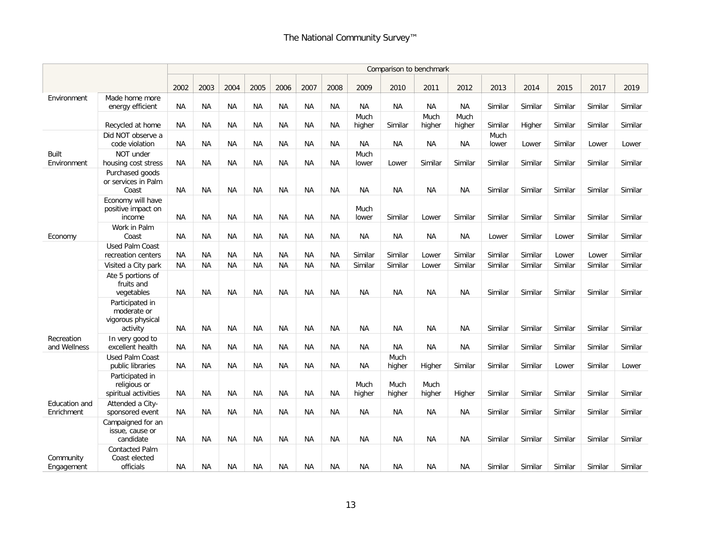|                             |                                                                 |           |           |           |           |           |           |           |                |                | Comparison to benchmark |                |               |         |         |         |         |
|-----------------------------|-----------------------------------------------------------------|-----------|-----------|-----------|-----------|-----------|-----------|-----------|----------------|----------------|-------------------------|----------------|---------------|---------|---------|---------|---------|
|                             |                                                                 | 2002      | 2003      | 2004      | 2005      | 2006      | 2007      | 2008      | 2009           | 2010           | 2011                    | 2012           | 2013          | 2014    | 2015    | 2017    | 2019    |
| Environment                 | Made home more<br>energy efficient                              | <b>NA</b> | <b>NA</b> | <b>NA</b> | NA        | <b>NA</b> | ΝA        | NA        | <b>NA</b>      | <b>NA</b>      | <b>NA</b>               | NA             | Similar       | Similar | Similar | Similar | Similar |
|                             | Recycled at home                                                | <b>NA</b> | <b>NA</b> | <b>NA</b> | <b>NA</b> | <b>NA</b> | <b>NA</b> | <b>NA</b> | Much<br>higher | Similar        | Much<br>higher          | Much<br>higher | Similar       | Higher  | Similar | Similar | Similar |
|                             | Did NOT observe a<br>code violation                             | NA        | <b>NA</b> | <b>NA</b> | <b>NA</b> | <b>NA</b> | <b>NA</b> | <b>NA</b> | <b>NA</b>      | <b>NA</b>      | <b>NA</b>               | <b>NA</b>      | Much<br>lower | Lower   | Similar | Lower   | Lower   |
| <b>Built</b><br>Environment | NOT under<br>housing cost stress                                | <b>NA</b> | <b>NA</b> | <b>NA</b> | NA        | <b>NA</b> | <b>NA</b> | <b>NA</b> | Much<br>lower  | Lower          | Similar                 | Similar        | Similar       | Similar | Similar | Similar | Similar |
|                             | Purchased goods<br>or services in Palm<br>Coast                 | <b>NA</b> | <b>NA</b> | <b>NA</b> | <b>NA</b> | <b>NA</b> | <b>NA</b> | <b>NA</b> | <b>NA</b>      | <b>NA</b>      | <b>NA</b>               | <b>NA</b>      | Similar       | Similar | Similar | Similar | Similar |
|                             | Economy will have<br>positive impact on<br>income               | <b>NA</b> | <b>NA</b> | NA        | <b>NA</b> | <b>NA</b> | <b>NA</b> | <b>NA</b> | Much<br>lower  | Similar        | Lower                   | Similar        | Similar       | Similar | Similar | Similar | Similar |
| Economy                     | Work in Palm<br>Coast                                           | <b>NA</b> | <b>NA</b> | ΝA        | ΝA        | NA        | <b>NA</b> | NA        | NА             | <b>NA</b>      | ΝA                      | ΝA             | Lower         | Similar | Lower   | Similar | Similar |
|                             | <b>Used Palm Coast</b><br>recreation centers                    | <b>NA</b> | <b>NA</b> | <b>NA</b> | <b>NA</b> | <b>NA</b> | <b>NA</b> | <b>NA</b> | Similar        | Similar        | Lower                   | Similar        | Similar       | Similar | Lower   | Lower   | Similar |
|                             | Visited a City park                                             | <b>NA</b> | <b>NA</b> | <b>NA</b> | <b>NA</b> | <b>NA</b> | <b>NA</b> | <b>NA</b> | Similar        | Similar        | Lower                   | Similar        | Similar       | Similar | Similar | Similar | Similar |
|                             | Ate 5 portions of<br>fruits and<br>vegetables                   | <b>NA</b> | <b>NA</b> | <b>NA</b> | <b>NA</b> | <b>NA</b> | ΝA        | NA        | <b>NA</b>      | <b>NA</b>      | <b>NA</b>               | <b>NA</b>      | Similar       | Similar | Similar | Similar | Similar |
|                             | Participated in<br>moderate or<br>vigorous physical<br>activity | NA.       | <b>NA</b> | NA        | <b>NA</b> | <b>NA</b> | <b>NA</b> | <b>NA</b> | <b>NA</b>      | <b>NA</b>      | <b>NA</b>               | <b>NA</b>      | Similar       | Similar | Similar | Similar | Similar |
| Recreation<br>and Wellness  | In very good to<br>excellent health                             | <b>NA</b> | <b>NA</b> | <b>NA</b> | NA        | <b>NA</b> | <b>NA</b> | NA        | <b>NA</b>      | <b>NA</b>      | <b>NA</b>               | <b>NA</b>      | Similar       | Similar | Similar | Similar | Similar |
|                             | <b>Used Palm Coast</b><br>public libraries                      | NA.       | <b>NA</b> | <b>NA</b> | <b>NA</b> | <b>NA</b> | <b>NA</b> | <b>NA</b> | <b>NA</b>      | Much<br>higher | Higher                  | Similar        | Similar       | Similar | Lower   | Similar | Lower   |
|                             | Participated in<br>religious or<br>spiritual activities         | NА        | <b>NA</b> | <b>NA</b> | <b>NA</b> | <b>NA</b> | ΝA        | <b>NA</b> | Much<br>higher | Much<br>higher | Much<br>higher          | Higher         | Similar       | Similar | Similar | Similar | Similar |
| Education and<br>Enrichment | Attended a City-<br>sponsored event                             | <b>NA</b> | <b>NA</b> | <b>NA</b> | <b>NA</b> | <b>NA</b> | <b>NA</b> | <b>NA</b> | <b>NA</b>      | <b>NA</b>      | <b>NA</b>               | <b>NA</b>      | Similar       | Similar | Similar | Similar | Similar |
|                             | Campaigned for an<br>issue, cause or<br>candidate               | <b>NA</b> | <b>NA</b> | <b>NA</b> | <b>NA</b> | <b>NA</b> | <b>NA</b> | <b>NA</b> | <b>NA</b>      | <b>NA</b>      | <b>NA</b>               | <b>NA</b>      | Similar       | Similar | Similar | Similar | Similar |
| Community<br>Engagement     | <b>Contacted Palm</b><br>Coast elected<br>officials             | NA.       | <b>NA</b> | <b>NA</b> | <b>NA</b> | <b>NA</b> | <b>NA</b> | <b>NA</b> | <b>NA</b>      | <b>NA</b>      | <b>NA</b>               | <b>NA</b>      | Similar       | Similar | Similar | Similar | Similar |